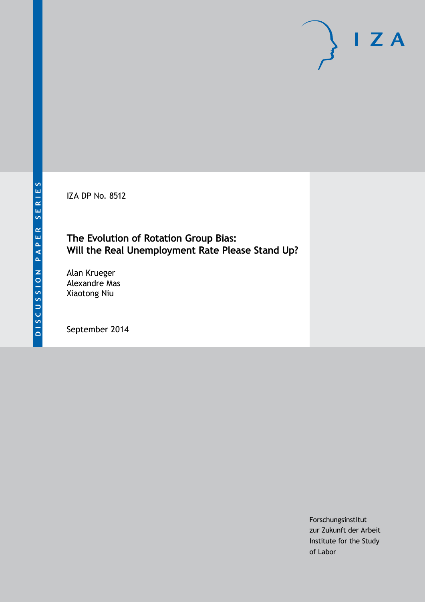IZA DP No. 8512

# **The Evolution of Rotation Group Bias: Will the Real Unemployment Rate Please Stand Up?**

Alan Krueger Alexandre Mas Xiaotong Niu

September 2014

Forschungsinstitut zur Zukunft der Arbeit Institute for the Study of Labor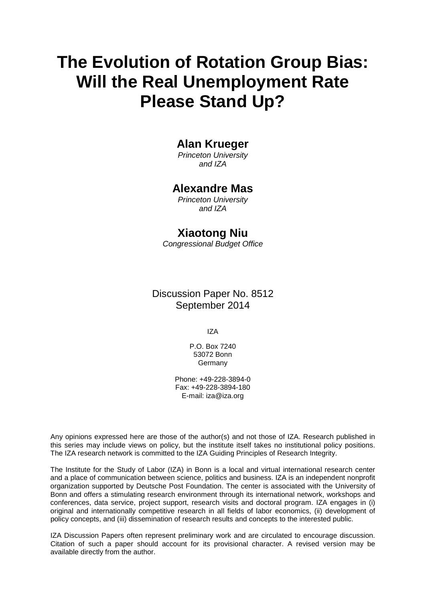# **The Evolution of Rotation Group Bias: Will the Real Unemployment Rate Please Stand Up?**

# **Alan Krueger**

*Princeton University and IZA*

# **Alexandre Mas**

*Princeton University and IZA*

# **Xiaotong Niu**

*Congressional Budget Office*

# Discussion Paper No. 8512 September 2014

IZA

P.O. Box 7240 53072 Bonn Germany

Phone: +49-228-3894-0 Fax: +49-228-3894-180 E-mail: [iza@iza.org](mailto:iza@iza.org)

Any opinions expressed here are those of the author(s) and not those of IZA. Research published in this series may include views on policy, but the institute itself takes no institutional policy positions. The IZA research network is committed to the IZA Guiding Principles of Research Integrity.

The Institute for the Study of Labor (IZA) in Bonn is a local and virtual international research center and a place of communication between science, politics and business. IZA is an independent nonprofit organization supported by Deutsche Post Foundation. The center is associated with the University of Bonn and offers a stimulating research environment through its international network, workshops and conferences, data service, project support, research visits and doctoral program. IZA engages in (i) original and internationally competitive research in all fields of labor economics, (ii) development of policy concepts, and (iii) dissemination of research results and concepts to the interested public.

<span id="page-1-0"></span>IZA Discussion Papers often represent preliminary work and are circulated to encourage discussion. Citation of such a paper should account for its provisional character. A revised version may be available directly from the author.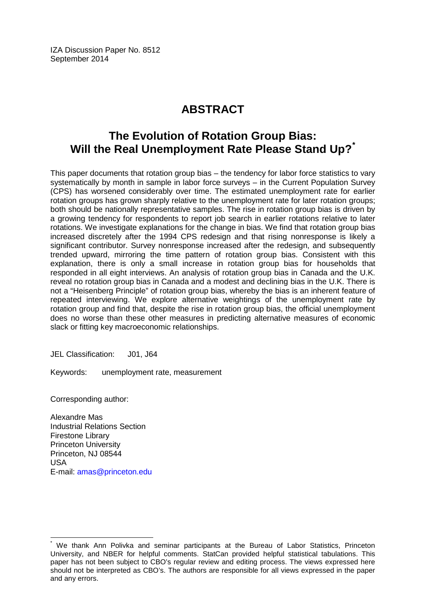IZA Discussion Paper No. 8512 September 2014

# **ABSTRACT**

# **The Evolution of Rotation Group Bias: Will the Real Unemployment Rate Please Stand Up?[\\*](#page-1-0)**

This paper documents that rotation group bias – the tendency for labor force statistics to vary systematically by month in sample in labor force surveys – in the Current Population Survey (CPS) has worsened considerably over time. The estimated unemployment rate for earlier rotation groups has grown sharply relative to the unemployment rate for later rotation groups; both should be nationally representative samples. The rise in rotation group bias is driven by a growing tendency for respondents to report job search in earlier rotations relative to later rotations. We investigate explanations for the change in bias. We find that rotation group bias increased discretely after the 1994 CPS redesign and that rising nonresponse is likely a significant contributor. Survey nonresponse increased after the redesign, and subsequently trended upward, mirroring the time pattern of rotation group bias. Consistent with this explanation, there is only a small increase in rotation group bias for households that responded in all eight interviews. An analysis of rotation group bias in Canada and the U.K. reveal no rotation group bias in Canada and a modest and declining bias in the U.K. There is not a "Heisenberg Principle" of rotation group bias, whereby the bias is an inherent feature of repeated interviewing. We explore alternative weightings of the unemployment rate by rotation group and find that, despite the rise in rotation group bias, the official unemployment does no worse than these other measures in predicting alternative measures of economic slack or fitting key macroeconomic relationships.

JEL Classification: J01, J64

Keywords: unemployment rate, measurement

Corresponding author:

Alexandre Mas Industrial Relations Section Firestone Library Princeton University Princeton, NJ 08544 USA E-mail: [amas@princeton.edu](mailto:amas@princeton.edu)

We thank Ann Polivka and seminar participants at the Bureau of Labor Statistics, Princeton University, and NBER for helpful comments. StatCan provided helpful statistical tabulations. This paper has not been subject to CBO's regular review and editing process. The views expressed here should not be interpreted as CBO's. The authors are responsible for all views expressed in the paper and any errors.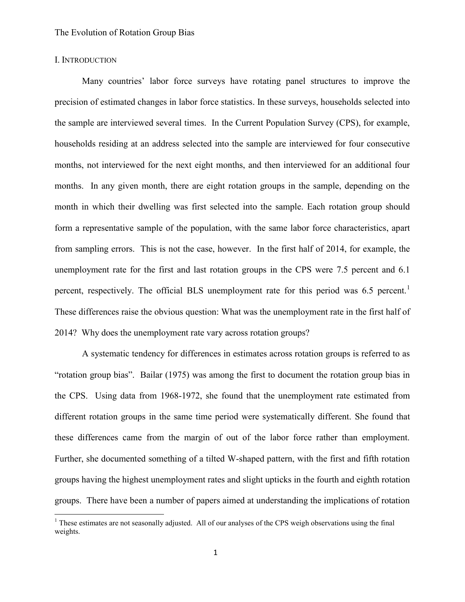#### I. INTRODUCTION

 $\overline{a}$ 

Many countries' labor force surveys have rotating panel structures to improve the precision of estimated changes in labor force statistics. In these surveys, households selected into the sample are interviewed several times. In the Current Population Survey (CPS), for example, households residing at an address selected into the sample are interviewed for four consecutive months, not interviewed for the next eight months, and then interviewed for an additional four months. In any given month, there are eight rotation groups in the sample, depending on the month in which their dwelling was first selected into the sample. Each rotation group should form a representative sample of the population, with the same labor force characteristics, apart from sampling errors. This is not the case, however. In the first half of 2014, for example, the unemployment rate for the first and last rotation groups in the CPS were 7.5 percent and 6.1 percent, respectively. The official BLS unemployment rate for this period was 6.5 percent.<sup>1</sup> These differences raise the obvious question: What was the unemployment rate in the first half of 2014? Why does the unemployment rate vary across rotation groups?

A systematic tendency for differences in estimates across rotation groups is referred to as "rotation group bias". Bailar (1975) was among the first to document the rotation group bias in the CPS. Using data from 1968-1972, she found that the unemployment rate estimated from different rotation groups in the same time period were systematically different. She found that these differences came from the margin of out of the labor force rather than employment. Further, she documented something of a tilted W-shaped pattern, with the first and fifth rotation groups having the highest unemployment rates and slight upticks in the fourth and eighth rotation groups. There have been a number of papers aimed at understanding the implications of rotation

<sup>&</sup>lt;sup>1</sup> These estimates are not seasonally adjusted. All of our analyses of the CPS weigh observations using the final weights.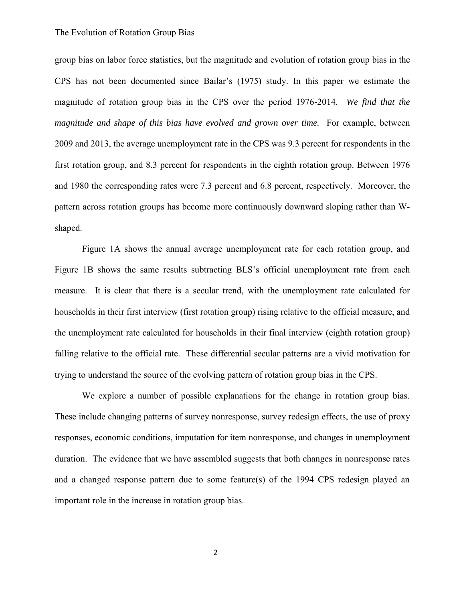group bias on labor force statistics, but the magnitude and evolution of rotation group bias in the CPS has not been documented since Bailar's (1975) study. In this paper we estimate the magnitude of rotation group bias in the CPS over the period 1976-2014. *We find that the magnitude and shape of this bias have evolved and grown over time.* For example, between 2009 and 2013, the average unemployment rate in the CPS was 9.3 percent for respondents in the first rotation group, and 8.3 percent for respondents in the eighth rotation group. Between 1976 and 1980 the corresponding rates were 7.3 percent and 6.8 percent, respectively. Moreover, the pattern across rotation groups has become more continuously downward sloping rather than Wshaped.

Figure 1A shows the annual average unemployment rate for each rotation group, and Figure 1B shows the same results subtracting BLS's official unemployment rate from each measure. It is clear that there is a secular trend, with the unemployment rate calculated for households in their first interview (first rotation group) rising relative to the official measure, and the unemployment rate calculated for households in their final interview (eighth rotation group) falling relative to the official rate. These differential secular patterns are a vivid motivation for trying to understand the source of the evolving pattern of rotation group bias in the CPS.

We explore a number of possible explanations for the change in rotation group bias. These include changing patterns of survey nonresponse, survey redesign effects, the use of proxy responses, economic conditions, imputation for item nonresponse, and changes in unemployment duration. The evidence that we have assembled suggests that both changes in nonresponse rates and a changed response pattern due to some feature(s) of the 1994 CPS redesign played an important role in the increase in rotation group bias.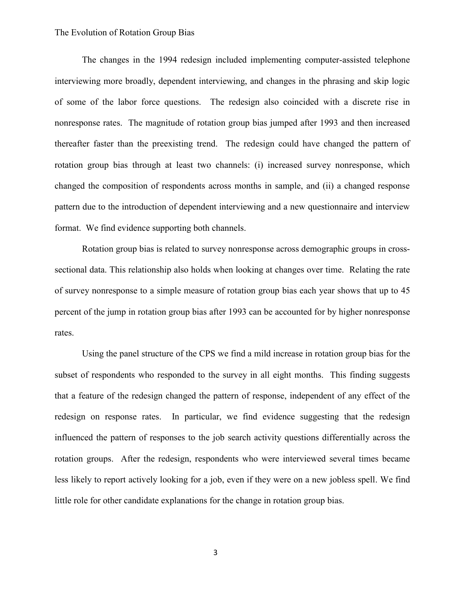The changes in the 1994 redesign included implementing computer-assisted telephone interviewing more broadly, dependent interviewing, and changes in the phrasing and skip logic of some of the labor force questions. The redesign also coincided with a discrete rise in nonresponse rates. The magnitude of rotation group bias jumped after 1993 and then increased thereafter faster than the preexisting trend. The redesign could have changed the pattern of rotation group bias through at least two channels: (i) increased survey nonresponse, which changed the composition of respondents across months in sample, and (ii) a changed response pattern due to the introduction of dependent interviewing and a new questionnaire and interview format. We find evidence supporting both channels.

Rotation group bias is related to survey nonresponse across demographic groups in crosssectional data. This relationship also holds when looking at changes over time. Relating the rate of survey nonresponse to a simple measure of rotation group bias each year shows that up to 45 percent of the jump in rotation group bias after 1993 can be accounted for by higher nonresponse rates.

Using the panel structure of the CPS we find a mild increase in rotation group bias for the subset of respondents who responded to the survey in all eight months. This finding suggests that a feature of the redesign changed the pattern of response, independent of any effect of the redesign on response rates. In particular, we find evidence suggesting that the redesign influenced the pattern of responses to the job search activity questions differentially across the rotation groups. After the redesign, respondents who were interviewed several times became less likely to report actively looking for a job, even if they were on a new jobless spell. We find little role for other candidate explanations for the change in rotation group bias.

3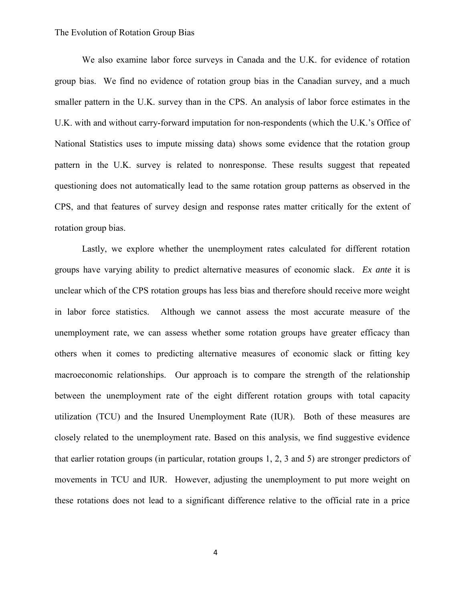We also examine labor force surveys in Canada and the U.K. for evidence of rotation group bias. We find no evidence of rotation group bias in the Canadian survey, and a much smaller pattern in the U.K. survey than in the CPS. An analysis of labor force estimates in the U.K. with and without carry-forward imputation for non-respondents (which the U.K.'s Office of National Statistics uses to impute missing data) shows some evidence that the rotation group pattern in the U.K. survey is related to nonresponse. These results suggest that repeated questioning does not automatically lead to the same rotation group patterns as observed in the CPS, and that features of survey design and response rates matter critically for the extent of rotation group bias.

Lastly, we explore whether the unemployment rates calculated for different rotation groups have varying ability to predict alternative measures of economic slack. *Ex ante* it is unclear which of the CPS rotation groups has less bias and therefore should receive more weight in labor force statistics. Although we cannot assess the most accurate measure of the unemployment rate, we can assess whether some rotation groups have greater efficacy than others when it comes to predicting alternative measures of economic slack or fitting key macroeconomic relationships. Our approach is to compare the strength of the relationship between the unemployment rate of the eight different rotation groups with total capacity utilization (TCU) and the Insured Unemployment Rate (IUR). Both of these measures are closely related to the unemployment rate. Based on this analysis, we find suggestive evidence that earlier rotation groups (in particular, rotation groups 1, 2, 3 and 5) are stronger predictors of movements in TCU and IUR. However, adjusting the unemployment to put more weight on these rotations does not lead to a significant difference relative to the official rate in a price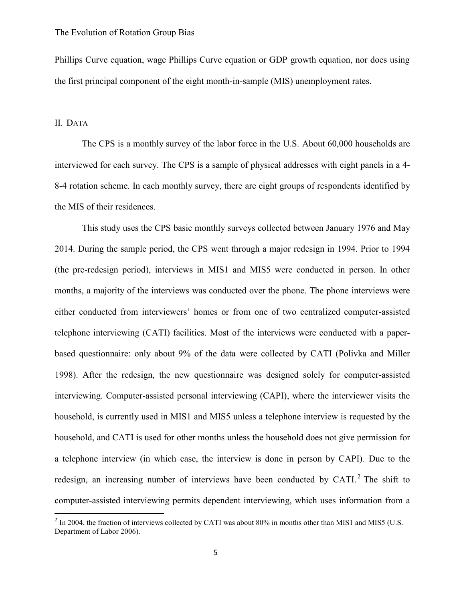Phillips Curve equation, wage Phillips Curve equation or GDP growth equation, nor does using the first principal component of the eight month-in-sample (MIS) unemployment rates.

#### II. DATA

l

 The CPS is a monthly survey of the labor force in the U.S. About 60,000 households are interviewed for each survey. The CPS is a sample of physical addresses with eight panels in a 4- 8-4 rotation scheme. In each monthly survey, there are eight groups of respondents identified by the MIS of their residences.

This study uses the CPS basic monthly surveys collected between January 1976 and May 2014. During the sample period, the CPS went through a major redesign in 1994. Prior to 1994 (the pre-redesign period), interviews in MIS1 and MIS5 were conducted in person. In other months, a majority of the interviews was conducted over the phone. The phone interviews were either conducted from interviewers' homes or from one of two centralized computer-assisted telephone interviewing (CATI) facilities. Most of the interviews were conducted with a paperbased questionnaire: only about 9% of the data were collected by CATI (Polivka and Miller 1998). After the redesign, the new questionnaire was designed solely for computer-assisted interviewing. Computer-assisted personal interviewing (CAPI), where the interviewer visits the household, is currently used in MIS1 and MIS5 unless a telephone interview is requested by the household, and CATI is used for other months unless the household does not give permission for a telephone interview (in which case, the interview is done in person by CAPI). Due to the redesign, an increasing number of interviews have been conducted by CATI. $^2$  The shift to computer-assisted interviewing permits dependent interviewing, which uses information from a

 $^2$  In 2004, the fraction of interviews collected by CATI was about 80% in months other than MIS1 and MIS5 (U.S. Department of Labor 2006).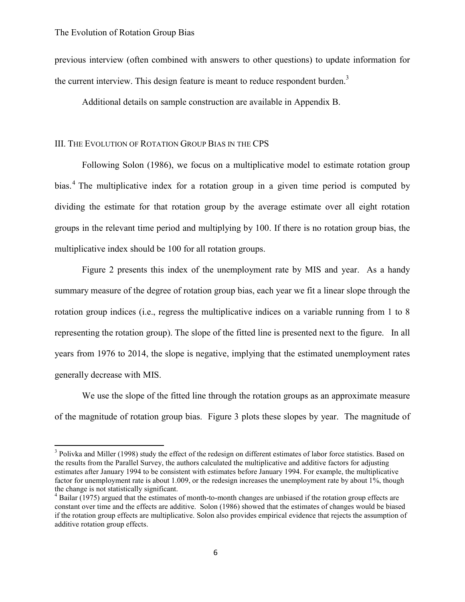$\overline{\phantom{a}}$ 

previous interview (often combined with answers to other questions) to update information for the current interview. This design feature is meant to reduce respondent burden.<sup>3</sup>

Additional details on sample construction are available in Appendix B.

### III. THE EVOLUTION OF ROTATION GROUP BIAS IN THE CPS

 Following Solon (1986), we focus on a multiplicative model to estimate rotation group bias.<sup>4</sup> The multiplicative index for a rotation group in a given time period is computed by dividing the estimate for that rotation group by the average estimate over all eight rotation groups in the relevant time period and multiplying by 100. If there is no rotation group bias, the multiplicative index should be 100 for all rotation groups.

 Figure 2 presents this index of the unemployment rate by MIS and year. As a handy summary measure of the degree of rotation group bias, each year we fit a linear slope through the rotation group indices (i.e., regress the multiplicative indices on a variable running from 1 to 8 representing the rotation group). The slope of the fitted line is presented next to the figure. In all years from 1976 to 2014, the slope is negative, implying that the estimated unemployment rates generally decrease with MIS.

We use the slope of the fitted line through the rotation groups as an approximate measure of the magnitude of rotation group bias. Figure 3 plots these slopes by year. The magnitude of

<sup>&</sup>lt;sup>3</sup> Polivka and Miller (1998) study the effect of the redesign on different estimates of labor force statistics. Based on the results from the Parallel Survey, the authors calculated the multiplicative and additive factors for adjusting estimates after January 1994 to be consistent with estimates before January 1994. For example, the multiplicative factor for unemployment rate is about 1.009, or the redesign increases the unemployment rate by about 1%, though the change is not statistically significant.

<sup>&</sup>lt;sup>4</sup> Bailar (1975) argued that the estimates of month-to-month changes are unbiased if the rotation group effects are constant over time and the effects are additive. Solon (1986) showed that the estimates of changes would be biased if the rotation group effects are multiplicative. Solon also provides empirical evidence that rejects the assumption of additive rotation group effects.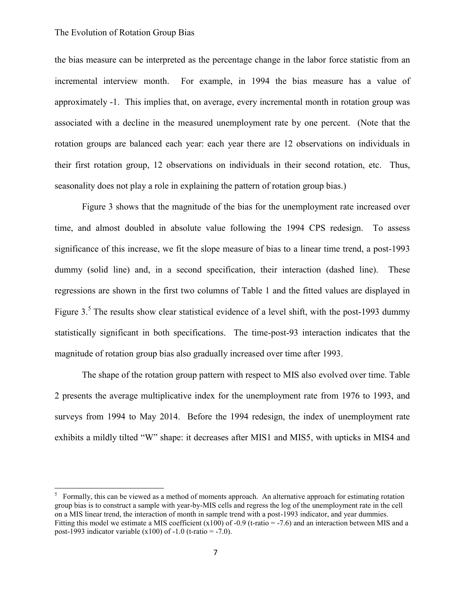l

the bias measure can be interpreted as the percentage change in the labor force statistic from an incremental interview month. For example, in 1994 the bias measure has a value of approximately -1. This implies that, on average, every incremental month in rotation group was associated with a decline in the measured unemployment rate by one percent. (Note that the rotation groups are balanced each year: each year there are 12 observations on individuals in their first rotation group, 12 observations on individuals in their second rotation, etc. Thus, seasonality does not play a role in explaining the pattern of rotation group bias.)

Figure 3 shows that the magnitude of the bias for the unemployment rate increased over time, and almost doubled in absolute value following the 1994 CPS redesign. To assess significance of this increase, we fit the slope measure of bias to a linear time trend, a post-1993 dummy (solid line) and, in a second specification, their interaction (dashed line). These regressions are shown in the first two columns of Table 1 and the fitted values are displayed in Figure 3.<sup>5</sup> The results show clear statistical evidence of a level shift, with the post-1993 dummy statistically significant in both specifications. The time-post-93 interaction indicates that the magnitude of rotation group bias also gradually increased over time after 1993.

The shape of the rotation group pattern with respect to MIS also evolved over time. Table 2 presents the average multiplicative index for the unemployment rate from 1976 to 1993, and surveys from 1994 to May 2014. Before the 1994 redesign, the index of unemployment rate exhibits a mildly tilted "W" shape: it decreases after MIS1 and MIS5, with upticks in MIS4 and

<sup>&</sup>lt;sup>5</sup> Formally, this can be viewed as a method of moments approach. An alternative approach for estimating rotation group bias is to construct a sample with year-by-MIS cells and regress the log of the unemployment rate in the cell on a MIS linear trend, the interaction of month in sample trend with a post-1993 indicator, and year dummies. Fitting this model we estimate a MIS coefficient  $(x100)$  of -0.9 (t-ratio = -7.6) and an interaction between MIS and a post-1993 indicator variable  $(x100)$  of -1.0 (t-ratio = -7.0).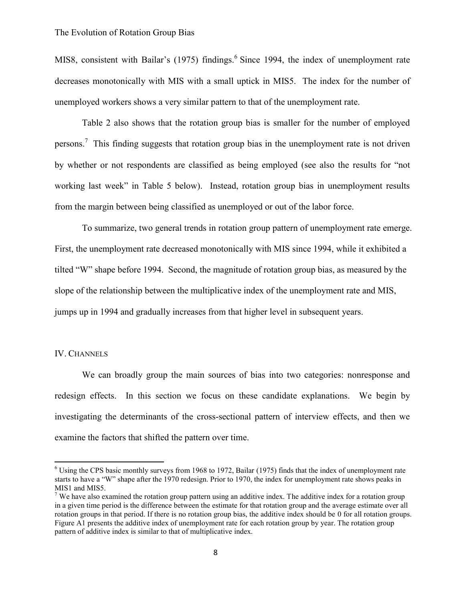MIS8, consistent with Bailar's (1975) findings.<sup>6</sup> Since 1994, the index of unemployment rate decreases monotonically with MIS with a small uptick in MIS5. The index for the number of unemployed workers shows a very similar pattern to that of the unemployment rate.

Table 2 also shows that the rotation group bias is smaller for the number of employed persons.<sup>7</sup> This finding suggests that rotation group bias in the unemployment rate is not driven by whether or not respondents are classified as being employed (see also the results for "not working last week" in Table 5 below). Instead, rotation group bias in unemployment results from the margin between being classified as unemployed or out of the labor force.

To summarize, two general trends in rotation group pattern of unemployment rate emerge. First, the unemployment rate decreased monotonically with MIS since 1994, while it exhibited a tilted "W" shape before 1994. Second, the magnitude of rotation group bias, as measured by the slope of the relationship between the multiplicative index of the unemployment rate and MIS, jumps up in 1994 and gradually increases from that higher level in subsequent years.

#### IV. CHANNELS

 $\overline{a}$ 

We can broadly group the main sources of bias into two categories: nonresponse and redesign effects. In this section we focus on these candidate explanations. We begin by investigating the determinants of the cross-sectional pattern of interview effects, and then we examine the factors that shifted the pattern over time.

<sup>&</sup>lt;sup>6</sup> Using the CPS basic monthly surveys from 1968 to 1972, Bailar (1975) finds that the index of unemployment rate starts to have a "W" shape after the 1970 redesign. Prior to 1970, the index for unemployment rate shows peaks in MIS1 and MIS5.

 $7$  We have also examined the rotation group pattern using an additive index. The additive index for a rotation group in a given time period is the difference between the estimate for that rotation group and the average estimate over all rotation groups in that period. If there is no rotation group bias, the additive index should be 0 for all rotation groups. Figure A1 presents the additive index of unemployment rate for each rotation group by year. The rotation group pattern of additive index is similar to that of multiplicative index.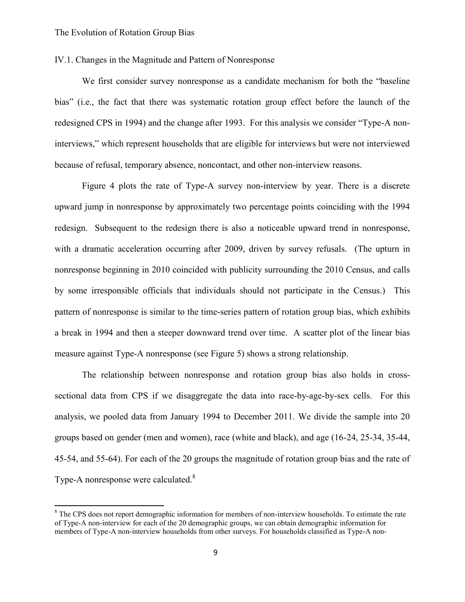$\overline{\phantom{a}}$ 

### IV.1. Changes in the Magnitude and Pattern of Nonresponse

We first consider survey nonresponse as a candidate mechanism for both the "baseline bias" (i.e., the fact that there was systematic rotation group effect before the launch of the redesigned CPS in 1994) and the change after 1993. For this analysis we consider "Type-A noninterviews," which represent households that are eligible for interviews but were not interviewed because of refusal, temporary absence, noncontact, and other non-interview reasons.

Figure 4 plots the rate of Type-A survey non-interview by year. There is a discrete upward jump in nonresponse by approximately two percentage points coinciding with the 1994 redesign. Subsequent to the redesign there is also a noticeable upward trend in nonresponse, with a dramatic acceleration occurring after 2009, driven by survey refusals. (The upturn in nonresponse beginning in 2010 coincided with publicity surrounding the 2010 Census, and calls by some irresponsible officials that individuals should not participate in the Census.) This pattern of nonresponse is similar to the time-series pattern of rotation group bias, which exhibits a break in 1994 and then a steeper downward trend over time. A scatter plot of the linear bias measure against Type-A nonresponse (see Figure 5) shows a strong relationship.

The relationship between nonresponse and rotation group bias also holds in crosssectional data from CPS if we disaggregate the data into race-by-age-by-sex cells. For this analysis, we pooled data from January 1994 to December 2011. We divide the sample into 20 groups based on gender (men and women), race (white and black), and age (16-24, 25-34, 35-44, 45-54, and 55-64). For each of the 20 groups the magnitude of rotation group bias and the rate of Type-A nonresponse were calculated.<sup>8</sup>

<sup>&</sup>lt;sup>8</sup> The CPS does not report demographic information for members of non-interview households. To estimate the rate of Type-A non-interview for each of the 20 demographic groups, we can obtain demographic information for members of Type-A non-interview households from other surveys. For households classified as Type-A non-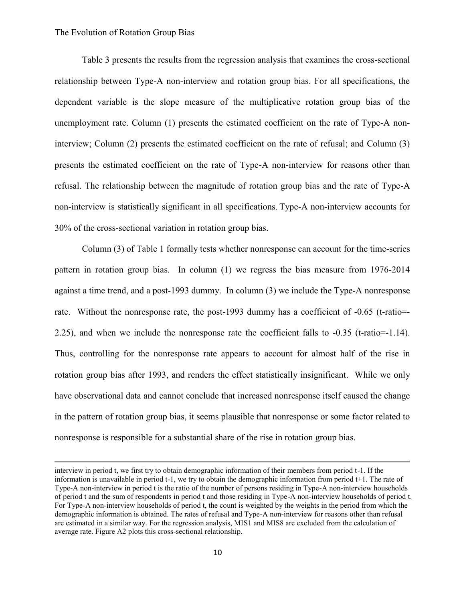$\overline{a}$ 

Table 3 presents the results from the regression analysis that examines the cross-sectional relationship between Type-A non-interview and rotation group bias. For all specifications, the dependent variable is the slope measure of the multiplicative rotation group bias of the unemployment rate. Column (1) presents the estimated coefficient on the rate of Type-A noninterview; Column (2) presents the estimated coefficient on the rate of refusal; and Column (3) presents the estimated coefficient on the rate of Type-A non-interview for reasons other than refusal. The relationship between the magnitude of rotation group bias and the rate of Type-A non-interview is statistically significant in all specifications. Type-A non-interview accounts for 30% of the cross-sectional variation in rotation group bias.

Column (3) of Table 1 formally tests whether nonresponse can account for the time-series pattern in rotation group bias. In column (1) we regress the bias measure from 1976-2014 against a time trend, and a post-1993 dummy. In column (3) we include the Type-A nonresponse rate. Without the nonresponse rate, the post-1993 dummy has a coefficient of -0.65 (t-ratio=- 2.25), and when we include the nonresponse rate the coefficient falls to -0.35 (t-ratio=-1.14). Thus, controlling for the nonresponse rate appears to account for almost half of the rise in rotation group bias after 1993, and renders the effect statistically insignificant. While we only have observational data and cannot conclude that increased nonresponse itself caused the change in the pattern of rotation group bias, it seems plausible that nonresponse or some factor related to nonresponse is responsible for a substantial share of the rise in rotation group bias.

interview in period t, we first try to obtain demographic information of their members from period t-1. If the information is unavailable in period t-1, we try to obtain the demographic information from period  $t+1$ . The rate of Type-A non-interview in period t is the ratio of the number of persons residing in Type-A non-interview households of period t and the sum of respondents in period t and those residing in Type-A non-interview households of period t. For Type-A non-interview households of period t, the count is weighted by the weights in the period from which the demographic information is obtained. The rates of refusal and Type-A non-interview for reasons other than refusal are estimated in a similar way. For the regression analysis, MIS1 and MIS8 are excluded from the calculation of average rate. Figure A2 plots this cross-sectional relationship.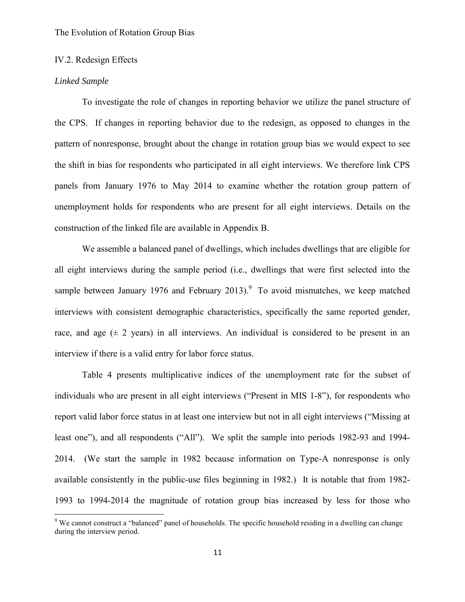#### IV.2. Redesign Effects

#### *Linked Sample*

 $\overline{a}$ 

To investigate the role of changes in reporting behavior we utilize the panel structure of the CPS. If changes in reporting behavior due to the redesign, as opposed to changes in the pattern of nonresponse, brought about the change in rotation group bias we would expect to see the shift in bias for respondents who participated in all eight interviews. We therefore link CPS panels from January 1976 to May 2014 to examine whether the rotation group pattern of unemployment holds for respondents who are present for all eight interviews. Details on the construction of the linked file are available in Appendix B.

We assemble a balanced panel of dwellings, which includes dwellings that are eligible for all eight interviews during the sample period (i.e., dwellings that were first selected into the sample between January 1976 and February 2013). To avoid mismatches, we keep matched interviews with consistent demographic characteristics, specifically the same reported gender, race, and age  $(\pm 2 \text{ years})$  in all interviews. An individual is considered to be present in an interview if there is a valid entry for labor force status.

Table 4 presents multiplicative indices of the unemployment rate for the subset of individuals who are present in all eight interviews ("Present in MIS 1-8"), for respondents who report valid labor force status in at least one interview but not in all eight interviews ("Missing at least one"), and all respondents ("All"). We split the sample into periods 1982-93 and 1994- 2014. (We start the sample in 1982 because information on Type-A nonresponse is only available consistently in the public-use files beginning in 1982.) It is notable that from 1982- 1993 to 1994-2014 the magnitude of rotation group bias increased by less for those who

 $9$  We cannot construct a "balanced" panel of households. The specific household residing in a dwelling can change during the interview period.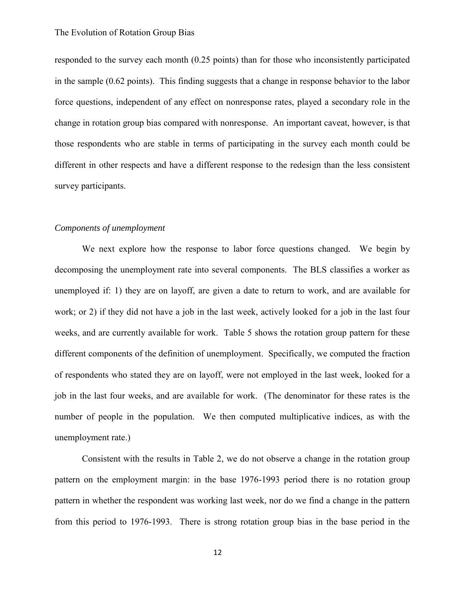responded to the survey each month (0.25 points) than for those who inconsistently participated in the sample (0.62 points). This finding suggests that a change in response behavior to the labor force questions, independent of any effect on nonresponse rates, played a secondary role in the change in rotation group bias compared with nonresponse. An important caveat, however, is that those respondents who are stable in terms of participating in the survey each month could be different in other respects and have a different response to the redesign than the less consistent survey participants.

### *Components of unemployment*

We next explore how the response to labor force questions changed. We begin by decomposing the unemployment rate into several components. The BLS classifies a worker as unemployed if: 1) they are on layoff, are given a date to return to work, and are available for work; or 2) if they did not have a job in the last week, actively looked for a job in the last four weeks, and are currently available for work. Table 5 shows the rotation group pattern for these different components of the definition of unemployment. Specifically, we computed the fraction of respondents who stated they are on layoff, were not employed in the last week, looked for a job in the last four weeks, and are available for work. (The denominator for these rates is the number of people in the population. We then computed multiplicative indices, as with the unemployment rate.)

Consistent with the results in Table 2, we do not observe a change in the rotation group pattern on the employment margin: in the base 1976-1993 period there is no rotation group pattern in whether the respondent was working last week, nor do we find a change in the pattern from this period to 1976-1993. There is strong rotation group bias in the base period in the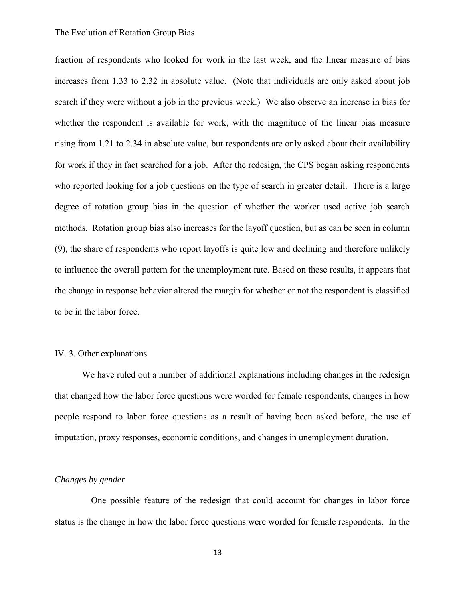fraction of respondents who looked for work in the last week, and the linear measure of bias increases from 1.33 to 2.32 in absolute value. (Note that individuals are only asked about job search if they were without a job in the previous week.) We also observe an increase in bias for whether the respondent is available for work, with the magnitude of the linear bias measure rising from 1.21 to 2.34 in absolute value, but respondents are only asked about their availability for work if they in fact searched for a job. After the redesign, the CPS began asking respondents who reported looking for a job questions on the type of search in greater detail. There is a large degree of rotation group bias in the question of whether the worker used active job search methods. Rotation group bias also increases for the layoff question, but as can be seen in column (9), the share of respondents who report layoffs is quite low and declining and therefore unlikely to influence the overall pattern for the unemployment rate. Based on these results, it appears that the change in response behavior altered the margin for whether or not the respondent is classified to be in the labor force.

#### IV. 3. Other explanations

We have ruled out a number of additional explanations including changes in the redesign that changed how the labor force questions were worded for female respondents, changes in how people respond to labor force questions as a result of having been asked before, the use of imputation, proxy responses, economic conditions, and changes in unemployment duration.

### *Changes by gender*

 One possible feature of the redesign that could account for changes in labor force status is the change in how the labor force questions were worded for female respondents. In the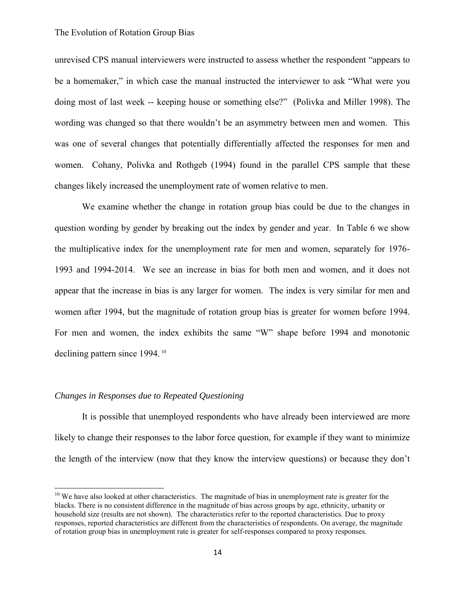unrevised CPS manual interviewers were instructed to assess whether the respondent "appears to be a homemaker," in which case the manual instructed the interviewer to ask "What were you doing most of last week -- keeping house or something else?" (Polivka and Miller 1998). The wording was changed so that there wouldn't be an asymmetry between men and women. This was one of several changes that potentially differentially affected the responses for men and women. Cohany, Polivka and Rothgeb (1994) found in the parallel CPS sample that these changes likely increased the unemployment rate of women relative to men.

We examine whether the change in rotation group bias could be due to the changes in question wording by gender by breaking out the index by gender and year. In Table 6 we show the multiplicative index for the unemployment rate for men and women, separately for 1976- 1993 and 1994-2014. We see an increase in bias for both men and women, and it does not appear that the increase in bias is any larger for women. The index is very similar for men and women after 1994, but the magnitude of rotation group bias is greater for women before 1994. For men and women, the index exhibits the same "W" shape before 1994 and monotonic declining pattern since 1994.<sup>10</sup>

#### *Changes in Responses due to Repeated Questioning*

l

 It is possible that unemployed respondents who have already been interviewed are more likely to change their responses to the labor force question, for example if they want to minimize the length of the interview (now that they know the interview questions) or because they don't

<sup>&</sup>lt;sup>10</sup> We have also looked at other characteristics. The magnitude of bias in unemployment rate is greater for the blacks. There is no consistent difference in the magnitude of bias across groups by age, ethnicity, urbanity or household size (results are not shown). The characteristics refer to the reported characteristics. Due to proxy responses, reported characteristics are different from the characteristics of respondents. On average, the magnitude of rotation group bias in unemployment rate is greater for self-responses compared to proxy responses.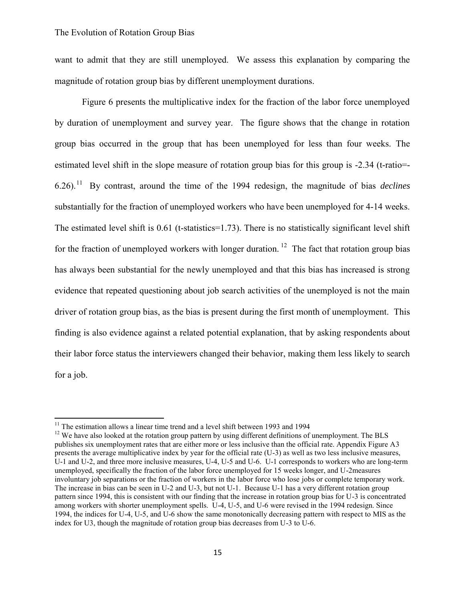want to admit that they are still unemployed. We assess this explanation by comparing the magnitude of rotation group bias by different unemployment durations.

Figure 6 presents the multiplicative index for the fraction of the labor force unemployed by duration of unemployment and survey year. The figure shows that the change in rotation group bias occurred in the group that has been unemployed for less than four weeks. The estimated level shift in the slope measure of rotation group bias for this group is -2.34 (t-ratio=-6.26).<sup>11</sup> By contrast, around the time of the 1994 redesign, the magnitude of bias *declines* substantially for the fraction of unemployed workers who have been unemployed for 4-14 weeks. The estimated level shift is 0.61 (t-statistics=1.73). There is no statistically significant level shift for the fraction of unemployed workers with longer duration. <sup>12</sup> The fact that rotation group bias has always been substantial for the newly unemployed and that this bias has increased is strong evidence that repeated questioning about job search activities of the unemployed is not the main driver of rotation group bias, as the bias is present during the first month of unemployment. This finding is also evidence against a related potential explanation, that by asking respondents about their labor force status the interviewers changed their behavior, making them less likely to search for a job.

 $\overline{\phantom{a}}$ 

 $11$  The estimation allows a linear time trend and a level shift between 1993 and 1994

 $12$  We have also looked at the rotation group pattern by using different definitions of unemployment. The BLS publishes six unemployment rates that are either more or less inclusive than the official rate. Appendix Figure A3 presents the average multiplicative index by year for the official rate (U-3) as well as two less inclusive measures, U-1 and U-2, and three more inclusive measures, U-4, U-5 and U-6. U-1 corresponds to workers who are long-term unemployed, specifically the fraction of the labor force unemployed for 15 weeks longer, and U-2measures involuntary job separations or the fraction of workers in the labor force who lose jobs or complete temporary work. The increase in bias can be seen in U-2 and U-3, but not U-1. Because U-1 has a very different rotation group pattern since 1994, this is consistent with our finding that the increase in rotation group bias for U-3 is concentrated among workers with shorter unemployment spells. U-4, U-5, and U-6 were revised in the 1994 redesign. Since 1994, the indices for U-4, U-5, and U-6 show the same monotonically decreasing pattern with respect to MIS as the index for U3, though the magnitude of rotation group bias decreases from U-3 to U-6.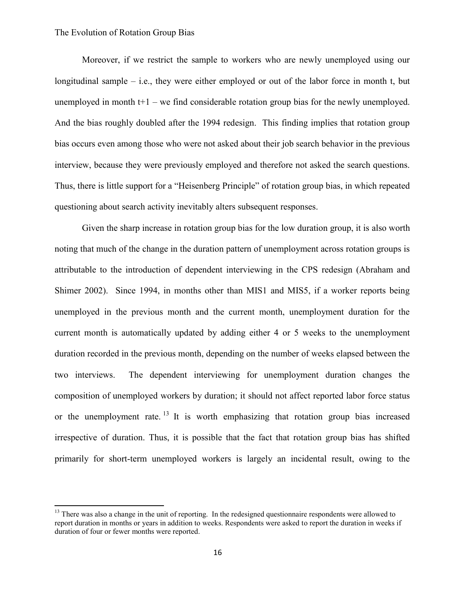$\overline{\phantom{a}}$ 

Moreover, if we restrict the sample to workers who are newly unemployed using our longitudinal sample – i.e., they were either employed or out of the labor force in month t, but unemployed in month  $t+1$  – we find considerable rotation group bias for the newly unemployed. And the bias roughly doubled after the 1994 redesign. This finding implies that rotation group bias occurs even among those who were not asked about their job search behavior in the previous interview, because they were previously employed and therefore not asked the search questions. Thus, there is little support for a "Heisenberg Principle" of rotation group bias, in which repeated questioning about search activity inevitably alters subsequent responses.

Given the sharp increase in rotation group bias for the low duration group, it is also worth noting that much of the change in the duration pattern of unemployment across rotation groups is attributable to the introduction of dependent interviewing in the CPS redesign (Abraham and Shimer 2002). Since 1994, in months other than MIS1 and MIS5, if a worker reports being unemployed in the previous month and the current month, unemployment duration for the current month is automatically updated by adding either 4 or 5 weeks to the unemployment duration recorded in the previous month, depending on the number of weeks elapsed between the two interviews. The dependent interviewing for unemployment duration changes the composition of unemployed workers by duration; it should not affect reported labor force status or the unemployment rate. <sup>13</sup> It is worth emphasizing that rotation group bias increased irrespective of duration. Thus, it is possible that the fact that rotation group bias has shifted primarily for short-term unemployed workers is largely an incidental result, owing to the

<sup>&</sup>lt;sup>13</sup> There was also a change in the unit of reporting. In the redesigned questionnaire respondents were allowed to report duration in months or years in addition to weeks. Respondents were asked to report the duration in weeks if duration of four or fewer months were reported.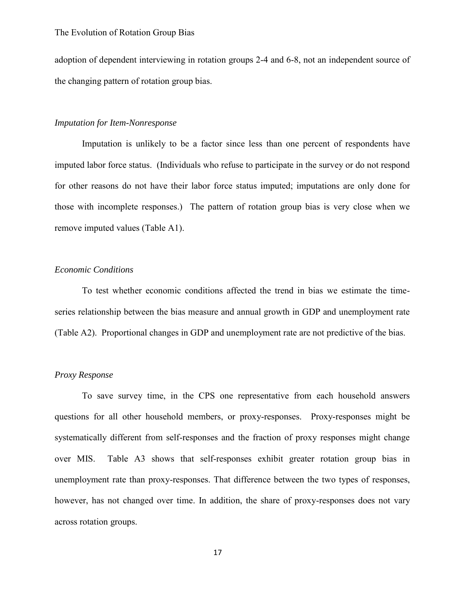adoption of dependent interviewing in rotation groups 2-4 and 6-8, not an independent source of the changing pattern of rotation group bias.

### *Imputation for Item-Nonresponse*

Imputation is unlikely to be a factor since less than one percent of respondents have imputed labor force status. (Individuals who refuse to participate in the survey or do not respond for other reasons do not have their labor force status imputed; imputations are only done for those with incomplete responses.) The pattern of rotation group bias is very close when we remove imputed values (Table A1).

#### *Economic Conditions*

To test whether economic conditions affected the trend in bias we estimate the timeseries relationship between the bias measure and annual growth in GDP and unemployment rate (Table A2). Proportional changes in GDP and unemployment rate are not predictive of the bias.

#### *Proxy Response*

To save survey time, in the CPS one representative from each household answers questions for all other household members, or proxy-responses. Proxy-responses might be systematically different from self-responses and the fraction of proxy responses might change over MIS. Table A3 shows that self-responses exhibit greater rotation group bias in unemployment rate than proxy-responses. That difference between the two types of responses, however, has not changed over time. In addition, the share of proxy-responses does not vary across rotation groups.

17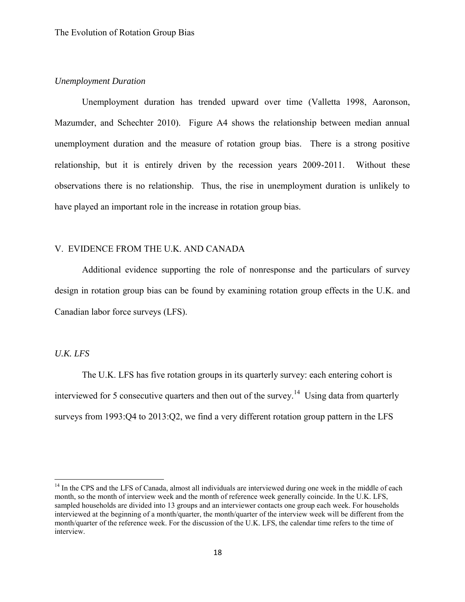# *Unemployment Duration*

Unemployment duration has trended upward over time (Valletta 1998, Aaronson, Mazumder, and Schechter 2010). Figure A4 shows the relationship between median annual unemployment duration and the measure of rotation group bias. There is a strong positive relationship, but it is entirely driven by the recession years 2009-2011. Without these observations there is no relationship. Thus, the rise in unemployment duration is unlikely to have played an important role in the increase in rotation group bias.

# V. EVIDENCE FROM THE U.K. AND CANADA

 Additional evidence supporting the role of nonresponse and the particulars of survey design in rotation group bias can be found by examining rotation group effects in the U.K. and Canadian labor force surveys (LFS).

#### *U.K. LFS*

 $\overline{\phantom{a}}$ 

The U.K. LFS has five rotation groups in its quarterly survey: each entering cohort is interviewed for 5 consecutive quarters and then out of the survey.<sup>14</sup> Using data from quarterly surveys from 1993:Q4 to 2013:Q2, we find a very different rotation group pattern in the LFS

<sup>&</sup>lt;sup>14</sup> In the CPS and the LFS of Canada, almost all individuals are interviewed during one week in the middle of each month, so the month of interview week and the month of reference week generally coincide. In the U.K. LFS, sampled households are divided into 13 groups and an interviewer contacts one group each week. For households interviewed at the beginning of a month/quarter, the month/quarter of the interview week will be different from the month/quarter of the reference week. For the discussion of the U.K. LFS, the calendar time refers to the time of interview.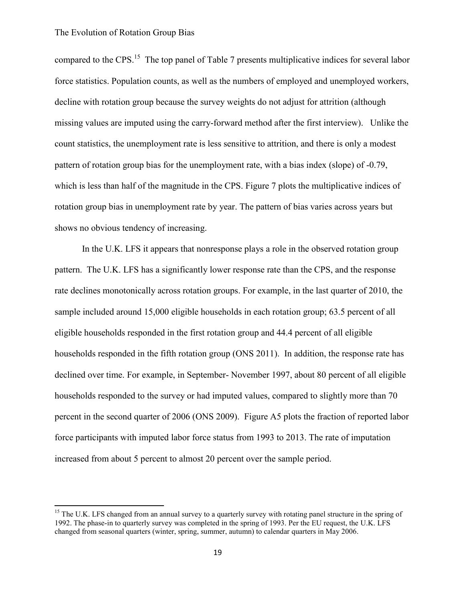$\overline{\phantom{a}}$ 

compared to the CPS.<sup>15</sup> The top panel of Table 7 presents multiplicative indices for several labor force statistics. Population counts, as well as the numbers of employed and unemployed workers, decline with rotation group because the survey weights do not adjust for attrition (although missing values are imputed using the carry-forward method after the first interview). Unlike the count statistics, the unemployment rate is less sensitive to attrition, and there is only a modest pattern of rotation group bias for the unemployment rate, with a bias index (slope) of -0.79, which is less than half of the magnitude in the CPS. Figure 7 plots the multiplicative indices of rotation group bias in unemployment rate by year. The pattern of bias varies across years but shows no obvious tendency of increasing.

In the U.K. LFS it appears that nonresponse plays a role in the observed rotation group pattern. The U.K. LFS has a significantly lower response rate than the CPS, and the response rate declines monotonically across rotation groups. For example, in the last quarter of 2010, the sample included around 15,000 eligible households in each rotation group; 63.5 percent of all eligible households responded in the first rotation group and 44.4 percent of all eligible households responded in the fifth rotation group (ONS 2011). In addition, the response rate has declined over time. For example, in September- November 1997, about 80 percent of all eligible households responded to the survey or had imputed values, compared to slightly more than 70 percent in the second quarter of 2006 (ONS 2009). Figure A5 plots the fraction of reported labor force participants with imputed labor force status from 1993 to 2013. The rate of imputation increased from about 5 percent to almost 20 percent over the sample period.

<sup>&</sup>lt;sup>15</sup> The U.K. LFS changed from an annual survey to a quarterly survey with rotating panel structure in the spring of 1992. The phase-in to quarterly survey was completed in the spring of 1993. Per the EU request, the U.K. LFS changed from seasonal quarters (winter, spring, summer, autumn) to calendar quarters in May 2006.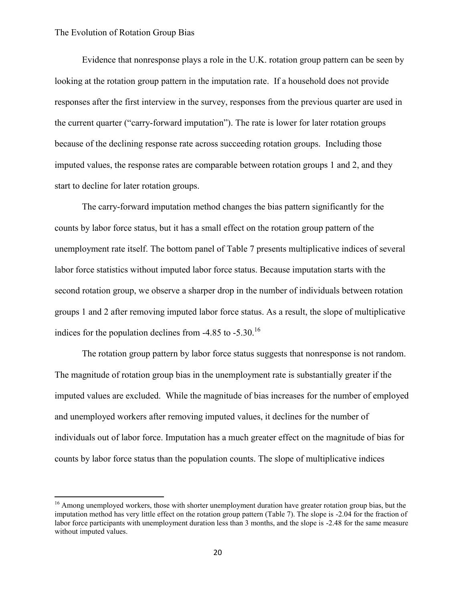$\overline{a}$ 

Evidence that nonresponse plays a role in the U.K. rotation group pattern can be seen by looking at the rotation group pattern in the imputation rate. If a household does not provide responses after the first interview in the survey, responses from the previous quarter are used in the current quarter ("carry-forward imputation"). The rate is lower for later rotation groups because of the declining response rate across succeeding rotation groups. Including those imputed values, the response rates are comparable between rotation groups 1 and 2, and they start to decline for later rotation groups.

The carry-forward imputation method changes the bias pattern significantly for the counts by labor force status, but it has a small effect on the rotation group pattern of the unemployment rate itself. The bottom panel of Table 7 presents multiplicative indices of several labor force statistics without imputed labor force status. Because imputation starts with the second rotation group, we observe a sharper drop in the number of individuals between rotation groups 1 and 2 after removing imputed labor force status. As a result, the slope of multiplicative indices for the population declines from  $-4.85$  to  $-5.30$ .<sup>16</sup>

The rotation group pattern by labor force status suggests that nonresponse is not random. The magnitude of rotation group bias in the unemployment rate is substantially greater if the imputed values are excluded. While the magnitude of bias increases for the number of employed and unemployed workers after removing imputed values, it declines for the number of individuals out of labor force. Imputation has a much greater effect on the magnitude of bias for counts by labor force status than the population counts. The slope of multiplicative indices

<sup>&</sup>lt;sup>16</sup> Among unemployed workers, those with shorter unemployment duration have greater rotation group bias, but the imputation method has very little effect on the rotation group pattern (Table 7). The slope is -2.04 for the fraction of labor force participants with unemployment duration less than 3 months, and the slope is -2.48 for the same measure without imputed values.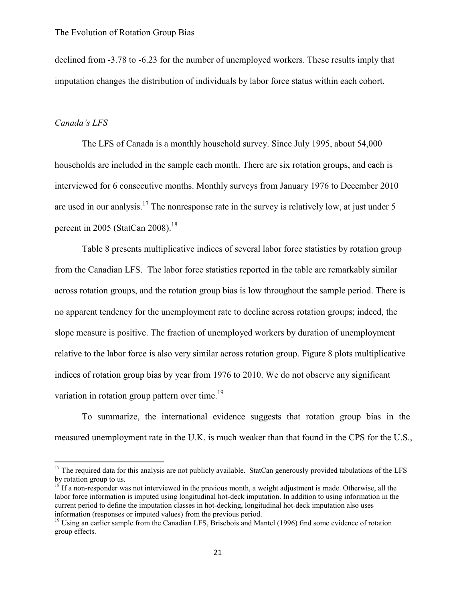declined from -3.78 to -6.23 for the number of unemployed workers. These results imply that imputation changes the distribution of individuals by labor force status within each cohort.

### *Canada's LFS*

 $\overline{a}$ 

The LFS of Canada is a monthly household survey. Since July 1995, about 54,000 households are included in the sample each month. There are six rotation groups, and each is interviewed for 6 consecutive months. Monthly surveys from January 1976 to December 2010 are used in our analysis.<sup>17</sup> The nonresponse rate in the survey is relatively low, at just under 5 percent in 2005 (StatCan 2008).<sup>18</sup>

Table 8 presents multiplicative indices of several labor force statistics by rotation group from the Canadian LFS. The labor force statistics reported in the table are remarkably similar across rotation groups, and the rotation group bias is low throughout the sample period. There is no apparent tendency for the unemployment rate to decline across rotation groups; indeed, the slope measure is positive. The fraction of unemployed workers by duration of unemployment relative to the labor force is also very similar across rotation group. Figure 8 plots multiplicative indices of rotation group bias by year from 1976 to 2010. We do not observe any significant variation in rotation group pattern over time.<sup>19</sup>

To summarize, the international evidence suggests that rotation group bias in the measured unemployment rate in the U.K. is much weaker than that found in the CPS for the U.S.,

 $17$  The required data for this analysis are not publicly available. StatCan generously provided tabulations of the LFS by rotation group to us.

<sup>&</sup>lt;sup>18</sup> If a non-responder was not interviewed in the previous month, a weight adjustment is made. Otherwise, all the labor force information is imputed using longitudinal hot-deck imputation. In addition to using information in the current period to define the imputation classes in hot-decking, longitudinal hot-deck imputation also uses information (responses or imputed values) from the previous period.

<sup>&</sup>lt;sup>19</sup> Using an earlier sample from the Canadian LFS, Brisebois and Mantel (1996) find some evidence of rotation group effects.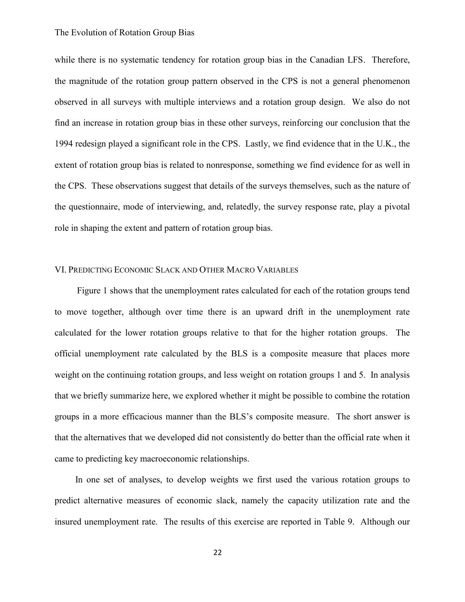while there is no systematic tendency for rotation group bias in the Canadian LFS. Therefore, the magnitude of the rotation group pattern observed in the CPS is not a general phenomenon observed in all surveys with multiple interviews and a rotation group design. We also do not find an increase in rotation group bias in these other surveys, reinforcing our conclusion that the 1994 redesign played a significant role in the CPS. Lastly, we find evidence that in the U.K., the extent of rotation group bias is related to nonresponse, something we find evidence for as well in the CPS. These observations suggest that details of the surveys themselves, such as the nature of the questionnaire, mode of interviewing, and, relatedly, the survey response rate, play a pivotal role in shaping the extent and pattern of rotation group bias.

#### VI. PREDICTING ECONOMIC SLACK AND OTHER MACRO VARIABLES

 Figure 1 shows that the unemployment rates calculated for each of the rotation groups tend to move together, although over time there is an upward drift in the unemployment rate calculated for the lower rotation groups relative to that for the higher rotation groups. The official unemployment rate calculated by the BLS is a composite measure that places more weight on the continuing rotation groups, and less weight on rotation groups 1 and 5. In analysis that we briefly summarize here, we explored whether it might be possible to combine the rotation groups in a more efficacious manner than the BLS's composite measure. The short answer is that the alternatives that we developed did not consistently do better than the official rate when it came to predicting key macroeconomic relationships.

 In one set of analyses, to develop weights we first used the various rotation groups to predict alternative measures of economic slack, namely the capacity utilization rate and the insured unemployment rate. The results of this exercise are reported in Table 9. Although our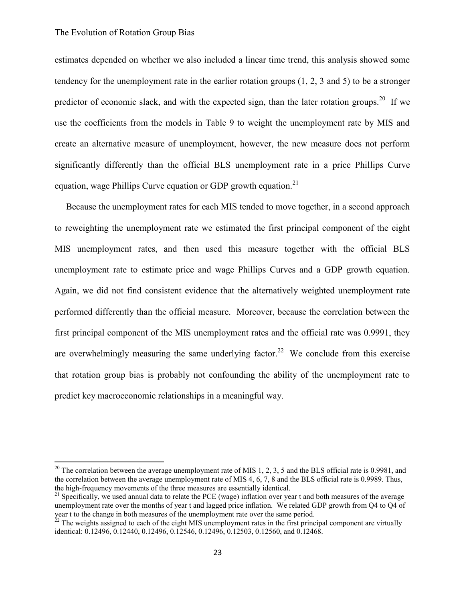$\overline{a}$ 

estimates depended on whether we also included a linear time trend, this analysis showed some tendency for the unemployment rate in the earlier rotation groups (1, 2, 3 and 5) to be a stronger predictor of economic slack, and with the expected sign, than the later rotation groups.<sup>20</sup> If we use the coefficients from the models in Table 9 to weight the unemployment rate by MIS and create an alternative measure of unemployment, however, the new measure does not perform significantly differently than the official BLS unemployment rate in a price Phillips Curve equation, wage Phillips Curve equation or GDP growth equation.<sup>21</sup>

 Because the unemployment rates for each MIS tended to move together, in a second approach to reweighting the unemployment rate we estimated the first principal component of the eight MIS unemployment rates, and then used this measure together with the official BLS unemployment rate to estimate price and wage Phillips Curves and a GDP growth equation. Again, we did not find consistent evidence that the alternatively weighted unemployment rate performed differently than the official measure. Moreover, because the correlation between the first principal component of the MIS unemployment rates and the official rate was 0.9991, they are overwhelmingly measuring the same underlying factor.<sup>22</sup> We conclude from this exercise that rotation group bias is probably not confounding the ability of the unemployment rate to predict key macroeconomic relationships in a meaningful way.

<sup>&</sup>lt;sup>20</sup> The correlation between the average unemployment rate of MIS 1, 2, 3, 5 and the BLS official rate is 0.9981, and the correlation between the average unemployment rate of MIS 4, 6, 7, 8 and the BLS official rate is 0.9989. Thus, the high-frequency movements of the three measures are essentially identical.

 $21$  Specifically, we used annual data to relate the PCE (wage) inflation over year t and both measures of the average unemployment rate over the months of year t and lagged price inflation. We related GDP growth from Q4 to Q4 of year t to the change in both measures of the unemployment rate over the same period.

 $2<sup>2</sup>$  The weights assigned to each of the eight MIS unemployment rates in the first principal component are virtually identical: 0.12496, 0.12440, 0.12496, 0.12546, 0.12496, 0.12503, 0.12560, and 0.12468.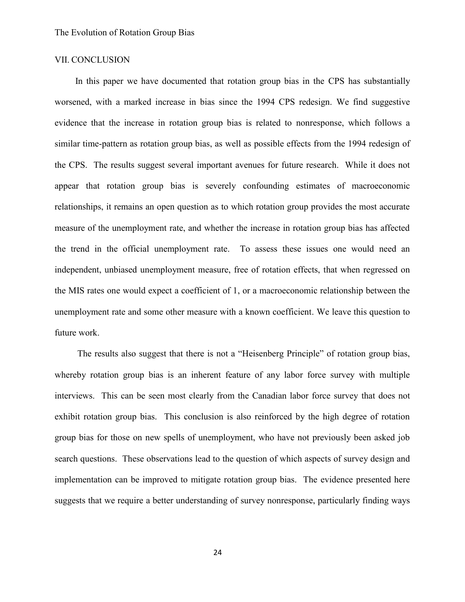### VII. CONCLUSION

In this paper we have documented that rotation group bias in the CPS has substantially worsened, with a marked increase in bias since the 1994 CPS redesign. We find suggestive evidence that the increase in rotation group bias is related to nonresponse, which follows a similar time-pattern as rotation group bias, as well as possible effects from the 1994 redesign of the CPS. The results suggest several important avenues for future research. While it does not appear that rotation group bias is severely confounding estimates of macroeconomic relationships, it remains an open question as to which rotation group provides the most accurate measure of the unemployment rate, and whether the increase in rotation group bias has affected the trend in the official unemployment rate. To assess these issues one would need an independent, unbiased unemployment measure, free of rotation effects, that when regressed on the MIS rates one would expect a coefficient of 1, or a macroeconomic relationship between the unemployment rate and some other measure with a known coefficient. We leave this question to future work.

 The results also suggest that there is not a "Heisenberg Principle" of rotation group bias, whereby rotation group bias is an inherent feature of any labor force survey with multiple interviews. This can be seen most clearly from the Canadian labor force survey that does not exhibit rotation group bias. This conclusion is also reinforced by the high degree of rotation group bias for those on new spells of unemployment, who have not previously been asked job search questions. These observations lead to the question of which aspects of survey design and implementation can be improved to mitigate rotation group bias. The evidence presented here suggests that we require a better understanding of survey nonresponse, particularly finding ways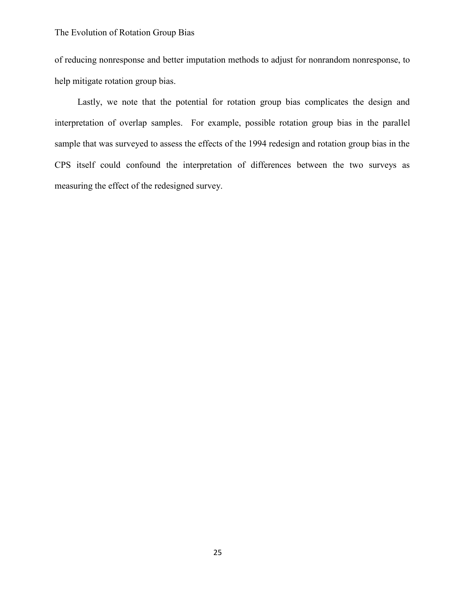of reducing nonresponse and better imputation methods to adjust for nonrandom nonresponse, to help mitigate rotation group bias.

 Lastly, we note that the potential for rotation group bias complicates the design and interpretation of overlap samples. For example, possible rotation group bias in the parallel sample that was surveyed to assess the effects of the 1994 redesign and rotation group bias in the CPS itself could confound the interpretation of differences between the two surveys as measuring the effect of the redesigned survey.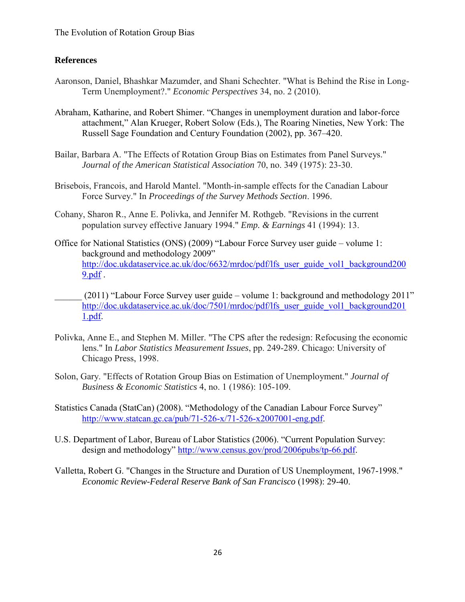# **References**

- Aaronson, Daniel, Bhashkar Mazumder, and Shani Schechter. "What is Behind the Rise in Long-Term Unemployment?." *Economic Perspectives* 34, no. 2 (2010).
- Abraham, Katharine, and Robert Shimer. "Changes in unemployment duration and labor-force attachment," Alan Krueger, Robert Solow (Eds.), The Roaring Nineties, New York: The Russell Sage Foundation and Century Foundation (2002), pp. 367–420.
- Bailar, Barbara A. "The Effects of Rotation Group Bias on Estimates from Panel Surveys." *Journal of the American Statistical Association* 70, no. 349 (1975): 23-30.
- Brisebois, Francois, and Harold Mantel. "Month-in-sample effects for the Canadian Labour Force Survey." In *Proceedings of the Survey Methods Section*. 1996.
- Cohany, Sharon R., Anne E. Polivka, and Jennifer M. Rothgeb. "Revisions in the current population survey effective January 1994." *Emp. & Earnings* 41 (1994): 13.
- Office for National Statistics (ONS) (2009) "Labour Force Survey user guide volume 1: background and methodology 2009" [http://doc.ukdataservice.ac.uk/doc/6632/mrdoc/pdf/lfs\\_user\\_guide\\_vol1\\_background200](http://doc.ukdataservice.ac.uk/doc/6632/mrdoc/pdf/lfs_user_guide_vol1_background2009.pdf)  $9.$ pdf .
- $(2011)$  "Labour Force Survey user guide volume 1: background and methodology 2011" [http://doc.ukdataservice.ac.uk/doc/7501/mrdoc/pdf/lfs\\_user\\_guide\\_vol1\\_background201](http://doc.ukdataservice.ac.uk/doc/7501/mrdoc/pdf/lfs_user_guide_vol1_background2011.pdf) [1.pdf.](http://doc.ukdataservice.ac.uk/doc/7501/mrdoc/pdf/lfs_user_guide_vol1_background2011.pdf)
- Polivka, Anne E., and Stephen M. Miller. "The CPS after the redesign: Refocusing the economic lens." In *Labor Statistics Measurement Issues*, pp. 249-289. Chicago: University of Chicago Press, 1998.
- Solon, Gary. "Effects of Rotation Group Bias on Estimation of Unemployment." *Journal of Business & Economic Statistics* 4, no. 1 (1986): 105-109.
- Statistics Canada (StatCan) (2008). "Methodology of the Canadian Labour Force Survey" [http://www.statcan.gc.ca/pub/71-526-x/71-526-x2007001-eng.pdf.](http://www.statcan.gc.ca/pub/71-526-x/71-526-x2007001-eng.pdf)
- U.S. Department of Labor, Bureau of Labor Statistics (2006). "Current Population Survey: design and methodology" [http://www.census.gov/prod/2006pubs/tp-66.pdf.](http://www.census.gov/prod/2006pubs/tp-66.pdf)
- Valletta, Robert G. "Changes in the Structure and Duration of US Unemployment, 1967-1998." *Economic Review-Federal Reserve Bank of San Francisco* (1998): 29-40.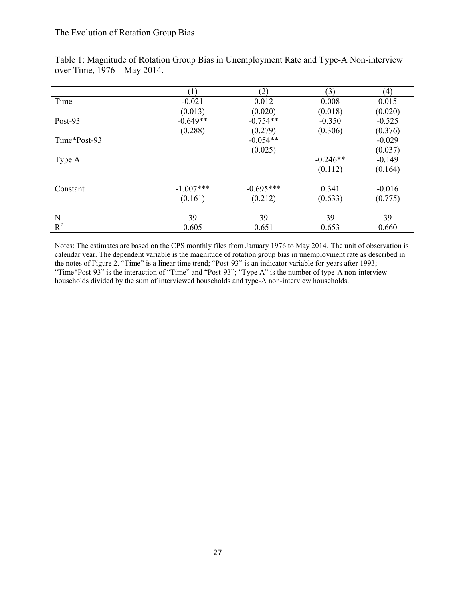|              | (1)         | (2)         | (3)        | (4)      |
|--------------|-------------|-------------|------------|----------|
| Time         | $-0.021$    | 0.012       | 0.008      | 0.015    |
|              | (0.013)     | (0.020)     | (0.018)    | (0.020)  |
| Post-93      | $-0.649**$  | $-0.754**$  | $-0.350$   | $-0.525$ |
|              | (0.288)     | (0.279)     | (0.306)    | (0.376)  |
| Time*Post-93 |             | $-0.054**$  |            | $-0.029$ |
|              |             | (0.025)     |            | (0.037)  |
| Type A       |             |             | $-0.246**$ | $-0.149$ |
|              |             |             | (0.112)    | (0.164)  |
| Constant     | $-1.007***$ | $-0.695***$ | 0.341      | $-0.016$ |
|              | (0.161)     | (0.212)     | (0.633)    | (0.775)  |
| N            | 39          | 39          | 39         | 39       |
| $R^2$        | 0.605       | 0.651       | 0.653      | 0.660    |

Table 1: Magnitude of Rotation Group Bias in Unemployment Rate and Type-A Non-interview over Time, 1976 – May 2014.

Notes: The estimates are based on the CPS monthly files from January 1976 to May 2014. The unit of observation is calendar year. The dependent variable is the magnitude of rotation group bias in unemployment rate as described in the notes of Figure 2. "Time" is a linear time trend; "Post-93" is an indicator variable for years after 1993; "Time\*Post-93" is the interaction of "Time" and "Post-93"; "Type A" is the number of type-A non-interview households divided by the sum of interviewed households and type-A non-interview households.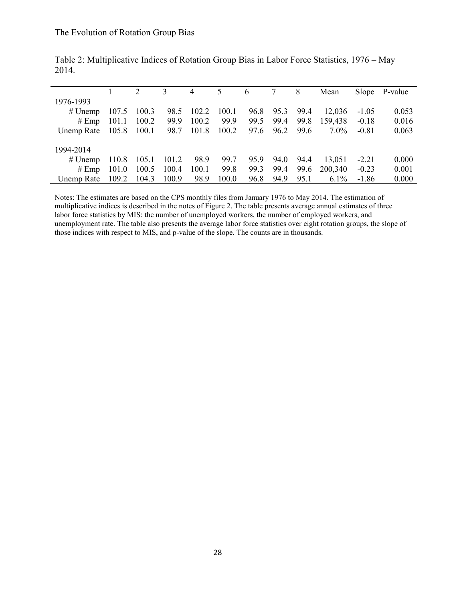|                    |       |             |       | 4          | 5     | 6    |           | 8    | Mean    |         | Slope P-value |
|--------------------|-------|-------------|-------|------------|-------|------|-----------|------|---------|---------|---------------|
| 1976-1993          |       |             |       |            |       |      |           |      |         |         |               |
| $#$ Unemp          | 107.5 | 100.3       |       | 98.5 102.2 | 100.1 | 96.8 | 95.3      | 99.4 | 12.036  | $-1.05$ | 0.053         |
| # Emp              | 101.1 | 100.2       | 99.9  | 100.2      | 99.9  | 99.5 | 99.4      | 99.8 | 159,438 | $-0.18$ | 0.016         |
| Unemp Rate 105.8   |       | 100.1       |       | 98.7 101.8 | 100.2 |      | 97.6 96.2 | 99.6 | $7.0\%$ | $-0.81$ | 0.063         |
| 1994-2014          |       |             |       |            |       |      |           |      |         |         |               |
| $#$ Unemp          | 110.8 | 105.1 101.2 |       | 98.9       | 99.7  | 95.9 | 94.0      | 94.4 | 13.051  | $-2.21$ | 0.000         |
| # Emp              | 101.0 | 100.5       | 100.4 | 100.1      | 99.8  | 99.3 | 99.4      | 99.6 | 200,340 | $-0.23$ | 0.001         |
| Unemp Rate $109.2$ |       | 104.3       | 100.9 | 98.9       | 100.0 | 96.8 | 94.9      | 95.1 | $6.1\%$ | $-1.86$ | 0.000         |

Table 2: Multiplicative Indices of Rotation Group Bias in Labor Force Statistics, 1976 – May 2014.

Notes: The estimates are based on the CPS monthly files from January 1976 to May 2014. The estimation of multiplicative indices is described in the notes of Figure 2. The table presents average annual estimates of three labor force statistics by MIS: the number of unemployed workers, the number of employed workers, and unemployment rate. The table also presents the average labor force statistics over eight rotation groups, the slope of those indices with respect to MIS, and p-value of the slope. The counts are in thousands.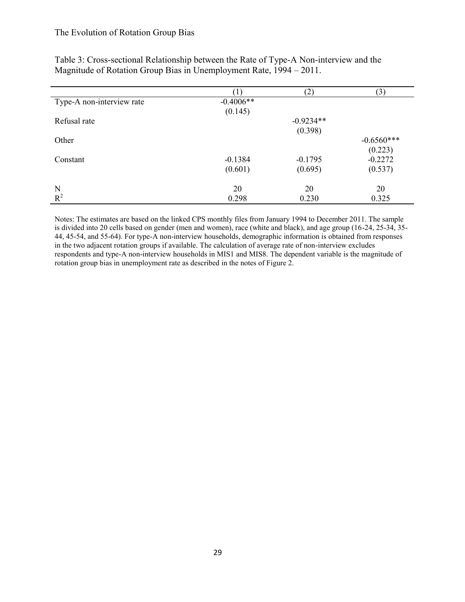|                           |             | $\left( 2\right)$ | (3)          |
|---------------------------|-------------|-------------------|--------------|
| Type-A non-interview rate | $-0.4006**$ |                   |              |
|                           | (0.145)     |                   |              |
| Refusal rate              |             | $-0.9234**$       |              |
|                           |             | (0.398)           |              |
| Other                     |             |                   | $-0.6560***$ |
|                           |             |                   | (0.223)      |
| Constant                  | $-0.1384$   | $-0.1795$         | $-0.2272$    |
|                           | (0.601)     | (0.695)           | (0.537)      |
| N                         | 20          | 20                | 20           |
| $R^2$                     | 0.298       | 0.230             | 0.325        |

Table 3: Cross-sectional Relationship between the Rate of Type-A Non-interview and the Magnitude of Rotation Group Bias in Unemployment Rate, 1994 – 2011.

Notes: The estimates are based on the linked CPS monthly files from January 1994 to December 2011. The sample is divided into 20 cells based on gender (men and women), race (white and black), and age group (16-24, 25-34, 35- 44, 45-54, and 55-64). For type-A non-interview households, demographic information is obtained from responses in the two adjacent rotation groups if available. The calculation of average rate of non-interview excludes respondents and type-A non-interview households in MIS1 and MIS8. The dependent variable is the magnitude of rotation group bias in unemployment rate as described in the notes of Figure 2.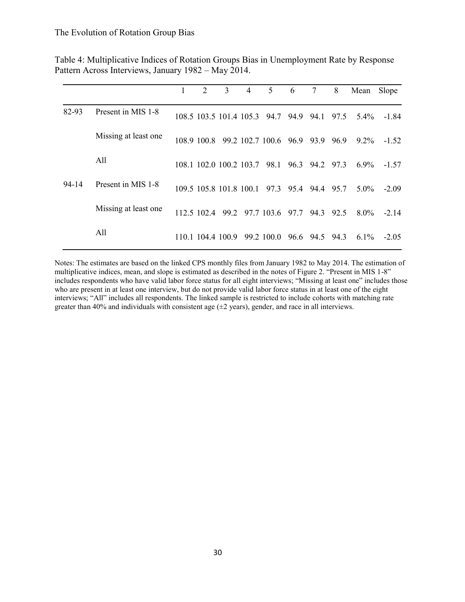|       |                       | 2           | 3                       | 4 | 5                            | 6    | 7         | 8    | Mean    | Slope   |
|-------|-----------------------|-------------|-------------------------|---|------------------------------|------|-----------|------|---------|---------|
| 82-93 | Present in MIS 1-8    |             |                         |   | 108.5 103.5 101.4 105.3 94.7 | 94.9 | 94.1      | 97.5 | $5.4\%$ | -1.84   |
|       | Missing at least one. | 108 9 100 8 |                         |   | 99.2 102.7 100.6 96.9        |      | 93.9      | 96.9 | $92\%$  | $-1.52$ |
|       | All                   |             | 108.1 102.0 100.2 103.7 |   | 98.1                         |      | 96.3 94.2 | 97.3 | $6.9\%$ | $-1.57$ |
| 94-14 | Present in MIS 1-8    |             | 109.5 105.8 101.8 100.1 |   | 97.3 95.4 94.4               |      |           | 95.7 | $5.0\%$ | $-2.09$ |
|       | Missing at least one  | 112 5 102 4 | 99.2                    |   | 97.7 103.6                   | 97.7 | 94.3      | 92.5 | $8.0\%$ | $-2.14$ |
|       | All                   |             | 110.1 104.4 100.9       |   | 99.2 100.0                   |      | 96.6 94.5 | 94.3 | $6.1\%$ | $-2.05$ |

Table 4: Multiplicative Indices of Rotation Groups Bias in Unemployment Rate by Response Pattern Across Interviews, January 1982 – May 2014.

Notes: The estimates are based on the linked CPS monthly files from January 1982 to May 2014. The estimation of multiplicative indices, mean, and slope is estimated as described in the notes of Figure 2. "Present in MIS 1-8" includes respondents who have valid labor force status for all eight interviews; "Missing at least one" includes those who are present in at least one interview, but do not provide valid labor force status in at least one of the eight interviews; "All" includes all respondents. The linked sample is restricted to include cohorts with matching rate greater than 40% and individuals with consistent age  $(\pm 2 \text{ years})$ , gender, and race in all interviews.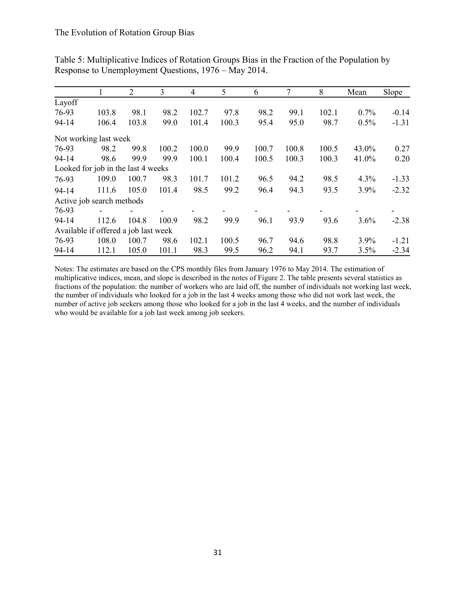| Table 5: Multiplicative Indices of Rotation Groups Bias in the Fraction of the Population by |  |
|----------------------------------------------------------------------------------------------|--|
| Response to Unemployment Questions, 1976 – May 2014.                                         |  |

|                                      |       | 2     | 3     | $\overline{4}$ | 5     | 6     | 7     | 8     | Mean  | Slope   |
|--------------------------------------|-------|-------|-------|----------------|-------|-------|-------|-------|-------|---------|
| Layoff                               |       |       |       |                |       |       |       |       |       |         |
| 76-93                                | 103.8 | 98.1  | 98.2  | 102.7          | 97.8  | 98.2  | 99.1  | 102.1 | 0.7%  | $-0.14$ |
| $94 - 14$                            | 106.4 | 103.8 | 99.0  | 101.4          | 100.3 | 95.4  | 95.0  | 98.7  | 0.5%  | $-1.31$ |
| Not working last week                |       |       |       |                |       |       |       |       |       |         |
| 76-93                                | 98.2  | 99.8  | 100.2 | 100.0          | 99.9  | 100.7 | 100.8 | 100.5 | 43.0% | 0.27    |
| $94 - 14$                            | 98.6  | 99.9  | 99.9  | 100.1          | 100.4 | 100.5 | 100.3 | 100.3 | 41.0% | 0.20    |
| Looked for job in the last 4 weeks   |       |       |       |                |       |       |       |       |       |         |
| 76-93                                | 109.0 | 100.7 | 98.3  | 101.7          | 101.2 | 96.5  | 94.2  | 98.5  | 4.3%  | $-1.33$ |
| $94 - 14$                            | 111.6 | 105.0 | 101.4 | 98.5           | 99.2  | 96.4  | 94.3  | 93.5  | 3.9%  | $-2.32$ |
| Active job search methods            |       |       |       |                |       |       |       |       |       |         |
| 76-93                                |       |       |       |                |       |       |       |       |       |         |
| $94 - 14$                            | 112.6 | 104.8 | 100.9 | 98.2           | 99.9  | 96.1  | 93.9  | 93.6  | 3.6%  | $-2.38$ |
| Available if offered a job last week |       |       |       |                |       |       |       |       |       |         |
| 76-93                                | 108.0 | 100.7 | 98.6  | 102.1          | 100.5 | 96.7  | 94.6  | 98.8  | 3.9%  | $-1.21$ |
| 94-14                                | 112.1 | 105.0 | 101.1 | 98.3           | 99.5  | 96.2  | 94.1  | 93.7  | 3.5%  | $-2.34$ |

Notes: The estimates are based on the CPS monthly files from January 1976 to May 2014. The estimation of multiplicative indices, mean, and slope is described in the notes of Figure 2. The table presents several statistics as fractions of the population: the number of workers who are laid off, the number of individuals not working last week, the number of individuals who looked for a job in the last 4 weeks among those who did not work last week, the number of active job seekers among those who looked for a job in the last 4 weeks, and the number of individuals who would be available for a job last week among job seekers.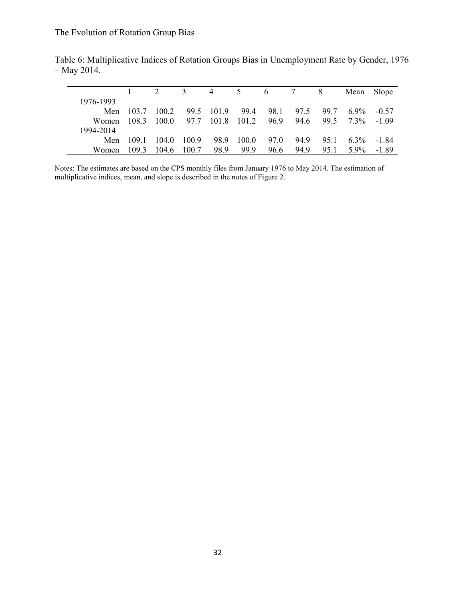|              |       |       |       | 4          | 5     | 6    |      |      | Mean             | Slope   |
|--------------|-------|-------|-------|------------|-------|------|------|------|------------------|---------|
| 1976-1993    |       |       |       |            |       |      |      |      |                  |         |
| Men          | 103.7 | 100.2 |       | 99.5 101.9 | 99.4  | 98.1 | 97.5 | 99.7 | $6.9\%$          | $-0.57$ |
| <b>Women</b> | 108.3 | 1000  | 97.7  | 101.8      | 101.2 | 96.9 | 94.6 |      | $995 \quad 73\%$ | $-1.09$ |
| 1994-2014    |       |       |       |            |       |      |      |      |                  |         |
| Men          | 109.1 | 104.0 | 100.9 | 98.9       | 100.0 | 97.0 | 94.9 | 95.1 | $6.3\%$          | -184    |
| Women        | 1093  | 104.6 | 100.7 | 98.9       | 99.9  | 96.6 | 94.9 | 95.1 | $5.9\%$          | -1.89   |

Table 6: Multiplicative Indices of Rotation Groups Bias in Unemployment Rate by Gender, 1976 – May 2014.

Notes: The estimates are based on the CPS monthly files from January 1976 to May 2014. The estimation of multiplicative indices, mean, and slope is described in the notes of Figure 2.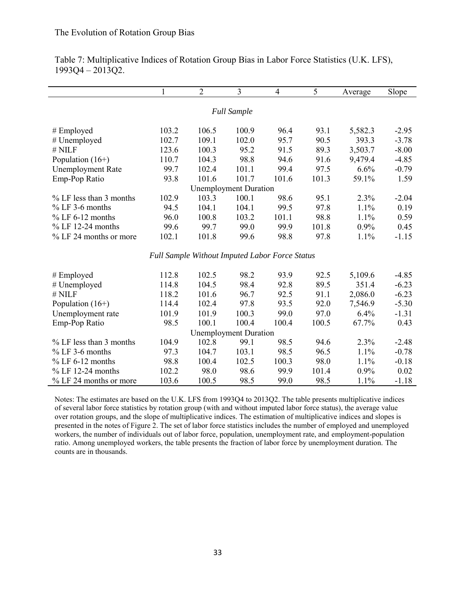l,

|                           | 1     | $\overline{2}$                                 | 3                            | 4     | 5     | Average | Slope   |
|---------------------------|-------|------------------------------------------------|------------------------------|-------|-------|---------|---------|
|                           |       |                                                |                              |       |       |         |         |
|                           |       |                                                | <b>Full Sample</b>           |       |       |         |         |
| $#$ Employed              | 103.2 | 106.5                                          | 100.9                        | 96.4  | 93.1  | 5,582.3 | $-2.95$ |
| # Unemployed              | 102.7 | 109.1                                          | 102.0                        | 95.7  | 90.5  | 393.3   | $-3.78$ |
| $#$ NILF                  | 123.6 | 100.3                                          | 95.2                         | 91.5  | 89.3  | 3,503.7 | $-8.00$ |
| Population $(16+)$        | 110.7 | 104.3                                          | 98.8                         | 94.6  | 91.6  | 9,479.4 | $-4.85$ |
| <b>Unemployment Rate</b>  | 99.7  | 102.4                                          | 101.1                        | 99.4  | 97.5  | 6.6%    | $-0.79$ |
| Emp-Pop Ratio             | 93.8  | 101.6                                          | 101.7                        | 101.6 | 101.3 | 59.1%   | 1.59    |
|                           |       |                                                | <b>Unemployment Duration</b> |       |       |         |         |
| % LF less than 3 months   | 102.9 | 103.3                                          | 100.1                        | 98.6  | 95.1  | 2.3%    | $-2.04$ |
| $%$ LF 3-6 months         | 94.5  | 104.1                                          | 104.1                        | 99.5  | 97.8  | 1.1%    | 0.19    |
| $%$ LF 6-12 months        | 96.0  | 100.8                                          | 103.2                        | 101.1 | 98.8  | 1.1%    | 0.59    |
| $%$ LF 12-24 months       | 99.6  | 99.7                                           | 99.0                         | 99.9  | 101.8 | 0.9%    | 0.45    |
| % LF 24 months or more    | 102.1 | 101.8                                          | 99.6                         | 98.8  | 97.8  | 1.1%    | $-1.15$ |
|                           |       | Full Sample Without Imputed Labor Force Status |                              |       |       |         |         |
|                           |       |                                                |                              |       |       |         |         |
| $#$ Employed              | 112.8 | 102.5                                          | 98.2                         | 93.9  | 92.5  | 5,109.6 | $-4.85$ |
| # Unemployed              | 114.8 | 104.5                                          | 98.4                         | 92.8  | 89.5  | 351.4   | $-6.23$ |
| # NILF                    | 118.2 | 101.6                                          | 96.7                         | 92.5  | 91.1  | 2,086.0 | $-6.23$ |
| Population $(16+)$        | 114.4 | 102.4                                          | 97.8                         | 93.5  | 92.0  | 7,546.9 | $-5.30$ |
| Unemployment rate         | 101.9 | 101.9                                          | 100.3                        | 99.0  | 97.0  | 6.4%    | $-1.31$ |
| Emp-Pop Ratio             | 98.5  | 100.1                                          | 100.4                        | 100.4 | 100.5 | 67.7%   | 0.43    |
|                           |       |                                                | <b>Unemployment Duration</b> |       |       |         |         |
| $%$ LF less than 3 months | 104.9 | 102.8                                          | 99.1                         | 98.5  | 94.6  | 2.3%    | $-2.48$ |
| $%$ LF 3-6 months         | 97.3  | 104.7                                          | 103.1                        | 98.5  | 96.5  | 1.1%    | $-0.78$ |
| $%$ LF 6-12 months        | 98.8  | 100.4                                          | 102.5                        | 100.3 | 98.0  | 1.1%    | $-0.18$ |
| $%$ LF 12-24 months       | 102.2 | 98.0                                           | 98.6                         | 99.9  | 101.4 | $0.9\%$ | 0.02    |
| % LF 24 months or more    | 103.6 | 100.5                                          | 98.5                         | 99.0  | 98.5  | 1.1%    | $-1.18$ |

Table 7: Multiplicative Indices of Rotation Group Bias in Labor Force Statistics (U.K. LFS), 1993Q4 – 2013Q2.

Notes: The estimates are based on the U.K. LFS from 1993Q4 to 2013Q2. The table presents multiplicative indices of several labor force statistics by rotation group (with and without imputed labor force status), the average value over rotation groups, and the slope of multiplicative indices. The estimation of multiplicative indices and slopes is presented in the notes of Figure 2. The set of labor force statistics includes the number of employed and unemployed workers, the number of individuals out of labor force, population, unemployment rate, and employment-population ratio. Among unemployed workers, the table presents the fraction of labor force by unemployment duration. The counts are in thousands.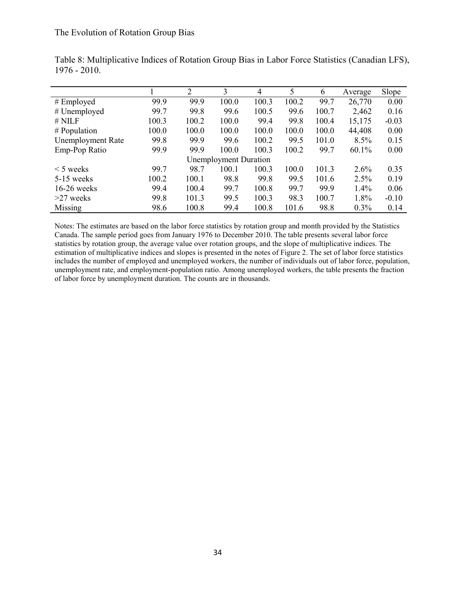|                          |       | 2     | 3                            | 4     | 5     | 6     | Average | Slope   |
|--------------------------|-------|-------|------------------------------|-------|-------|-------|---------|---------|
| $#$ Employed             | 99.9  | 99.9  | 100.0                        | 100.3 | 100.2 | 99.7  | 26,770  | 0.00    |
| $#$ Unemployed           | 99.7  | 99.8  | 99.6                         | 100.5 | 99.6  | 100.7 | 2,462   | 0.16    |
| $#$ NILF                 | 100.3 | 100.2 | 100.0                        | 99.4  | 99.8  | 100.4 | 15,175  | $-0.03$ |
| # Population             | 100.0 | 100.0 | 100.0                        | 100.0 | 100.0 | 100.0 | 44,408  | 0.00    |
| <b>Unemployment Rate</b> | 99.8  | 99.9  | 99.6                         | 100.2 | 99.5  | 101.0 | 8.5%    | 0.15    |
| Emp-Pop Ratio            | 99.9  | 99.9  | 100.0                        | 100.3 | 100.2 | 99.7  | 60.1%   | 0.00    |
|                          |       |       | <b>Unemployment Duration</b> |       |       |       |         |         |
| $\leq$ 5 weeks           | 99.7  | 98.7  | 100.1                        | 100.3 | 100.0 | 101.3 | 2.6%    | 0.35    |
| $5-15$ weeks             | 100.2 | 100.1 | 98.8                         | 99.8  | 99.5  | 101.6 | 2.5%    | 0.19    |
| $16-26$ weeks            | 99.4  | 100.4 | 99.7                         | 100.8 | 99.7  | 99.9  | 1.4%    | 0.06    |
| $>27$ weeks              | 99.8  | 101.3 | 99.5                         | 100.3 | 98.3  | 100.7 | 1.8%    | $-0.10$ |
| Missing                  | 98.6  | 100.8 | 99.4                         | 100.8 | 101.6 | 98.8  | 0.3%    | 0.14    |

Table 8: Multiplicative Indices of Rotation Group Bias in Labor Force Statistics (Canadian LFS), 1976 - 2010.

Notes: The estimates are based on the labor force statistics by rotation group and month provided by the Statistics Canada. The sample period goes from January 1976 to December 2010. The table presents several labor force statistics by rotation group, the average value over rotation groups, and the slope of multiplicative indices. The estimation of multiplicative indices and slopes is presented in the notes of Figure 2. The set of labor force statistics includes the number of employed and unemployed workers, the number of individuals out of labor force, population, unemployment rate, and employment-population ratio. Among unemployed workers, the table presents the fraction of labor force by unemployment duration. The counts are in thousands.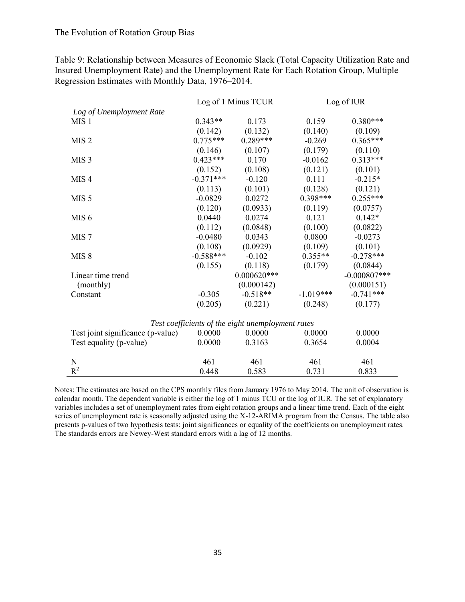|                                   |             | Log of 1 Minus TCUR                               | Log of IUR  |                 |  |  |
|-----------------------------------|-------------|---------------------------------------------------|-------------|-----------------|--|--|
| Log of Unemployment Rate          |             |                                                   |             |                 |  |  |
| MIS <sub>1</sub>                  | $0.343**$   | 0.173                                             | 0.159       | $0.380***$      |  |  |
|                                   | (0.142)     | (0.132)                                           | (0.140)     | (0.109)         |  |  |
| MIS <sub>2</sub>                  | $0.775***$  | $0.289***$                                        | $-0.269$    | $0.365***$      |  |  |
|                                   | (0.146)     | (0.107)                                           | (0.179)     | (0.110)         |  |  |
| MIS <sub>3</sub>                  | $0.423***$  | 0.170                                             | $-0.0162$   | $0.313***$      |  |  |
|                                   | (0.152)     | (0.108)                                           | (0.121)     | (0.101)         |  |  |
| MIS <sub>4</sub>                  | $-0.371***$ | $-0.120$                                          | 0.111       | $-0.215*$       |  |  |
|                                   | (0.113)     | (0.101)                                           | (0.128)     | (0.121)         |  |  |
| MIS <sub>5</sub>                  | $-0.0829$   | 0.0272                                            | $0.398***$  | $0.255***$      |  |  |
|                                   | (0.120)     | (0.0933)                                          | (0.119)     | (0.0757)        |  |  |
| MIS <sub>6</sub>                  | 0.0440      | 0.0274                                            | 0.121       | $0.142*$        |  |  |
|                                   | (0.112)     | (0.0848)                                          | (0.100)     | (0.0822)        |  |  |
| MIS <sub>7</sub>                  | $-0.0480$   | 0.0343                                            | 0.0800      | $-0.0273$       |  |  |
|                                   | (0.108)     | (0.0929)                                          | (0.109)     | (0.101)         |  |  |
| MIS <sub>8</sub>                  | $-0.588***$ | $-0.102$                                          | $0.355**$   | $-0.278***$     |  |  |
|                                   | (0.155)     | (0.118)                                           | (0.179)     | (0.0844)        |  |  |
| Linear time trend                 |             | $0.000620***$                                     |             | $-0.000807$ *** |  |  |
| (monthly)                         |             | (0.000142)                                        |             | (0.000151)      |  |  |
| Constant                          | $-0.305$    | $-0.518**$                                        | $-1.019***$ | $-0.741***$     |  |  |
|                                   | (0.205)     | (0.221)                                           | (0.248)     | (0.177)         |  |  |
|                                   |             | Test coefficients of the eight unemployment rates |             |                 |  |  |
| Test joint significance (p-value) | 0.0000      | 0.0000                                            | 0.0000      | 0.0000          |  |  |
| Test equality (p-value)           | 0.0000      | 0.3163                                            | 0.3654      | 0.0004          |  |  |
| N                                 | 461         | 461                                               | 461         | 461             |  |  |
| $R^2$                             | 0.448       | 0.583                                             | 0.731       | 0.833           |  |  |

Table 9: Relationship between Measures of Economic Slack (Total Capacity Utilization Rate and Insured Unemployment Rate) and the Unemployment Rate for Each Rotation Group, Multiple Regression Estimates with Monthly Data, 1976–2014.

Notes: The estimates are based on the CPS monthly files from January 1976 to May 2014. The unit of observation is calendar month. The dependent variable is either the log of 1 minus TCU or the log of IUR. The set of explanatory variables includes a set of unemployment rates from eight rotation groups and a linear time trend. Each of the eight series of unemployment rate is seasonally adjusted using the X-12-ARIMA program from the Census. The table also presents p-values of two hypothesis tests: joint significances or equality of the coefficients on unemployment rates. The standards errors are Newey-West standard errors with a lag of 12 months.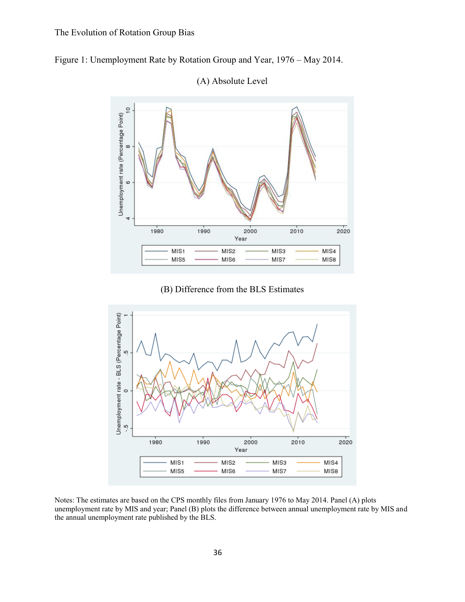



(A) Absolute Level

(B) Difference from the BLS Estimates



Notes: The estimates are based on the CPS monthly files from January 1976 to May 2014. Panel (A) plots unemployment rate by MIS and year; Panel (B) plots the difference between annual unemployment rate by MIS and the annual unemployment rate published by the BLS.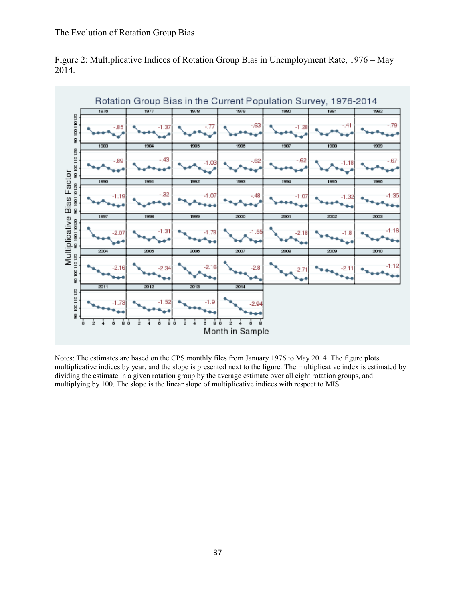

Figure 2: Multiplicative Indices of Rotation Group Bias in Unemployment Rate, 1976 – May 2014.

Notes: The estimates are based on the CPS monthly files from January 1976 to May 2014. The figure plots multiplicative indices by year, and the slope is presented next to the figure. The multiplicative index is estimated by dividing the estimate in a given rotation group by the average estimate over all eight rotation groups, and multiplying by 100. The slope is the linear slope of multiplicative indices with respect to MIS.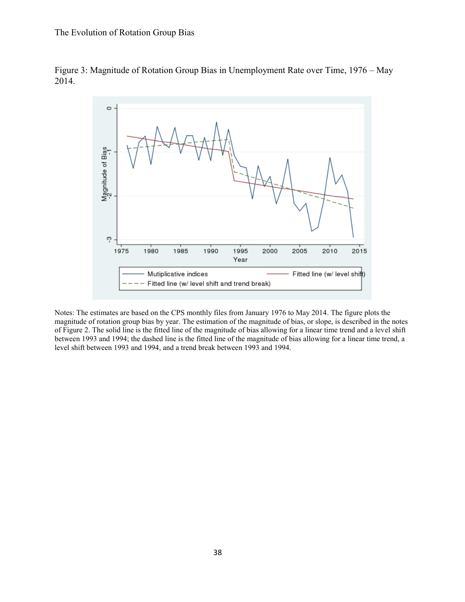



Notes: The estimates are based on the CPS monthly files from January 1976 to May 2014. The figure plots the magnitude of rotation group bias by year. The estimation of the magnitude of bias, or slope, is described in the notes of Figure 2. The solid line is the fitted line of the magnitude of bias allowing for a linear time trend and a level shift between 1993 and 1994; the dashed line is the fitted line of the magnitude of bias allowing for a linear time trend, a level shift between 1993 and 1994, and a trend break between 1993 and 1994.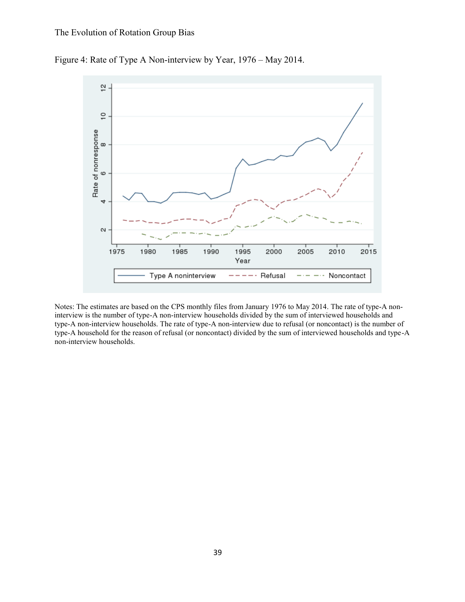



Notes: The estimates are based on the CPS monthly files from January 1976 to May 2014. The rate of type-A noninterview is the number of type-A non-interview households divided by the sum of interviewed households and type-A non-interview households. The rate of type-A non-interview due to refusal (or noncontact) is the number of type-A household for the reason of refusal (or noncontact) divided by the sum of interviewed households and type-A non-interview households.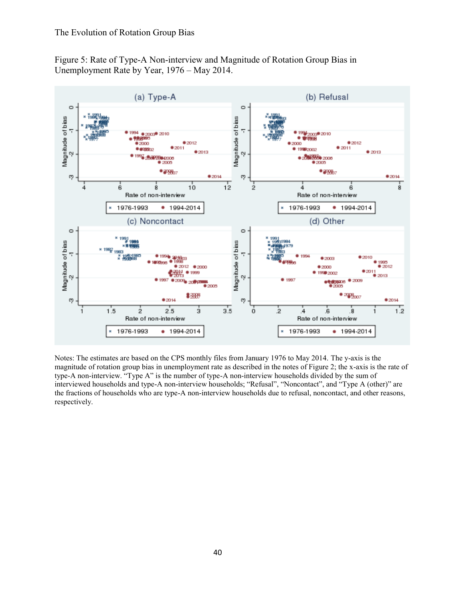Figure 5: Rate of Type-A Non-interview and Magnitude of Rotation Group Bias in Unemployment Rate by Year, 1976 – May 2014.



Notes: The estimates are based on the CPS monthly files from January 1976 to May 2014. The y-axis is the magnitude of rotation group bias in unemployment rate as described in the notes of Figure 2; the x-axis is the rate of type-A non-interview. "Type A" is the number of type-A non-interview households divided by the sum of interviewed households and type-A non-interview households; "Refusal", "Noncontact", and "Type A (other)" are the fractions of households who are type-A non-interview households due to refusal, noncontact, and other reasons, respectively.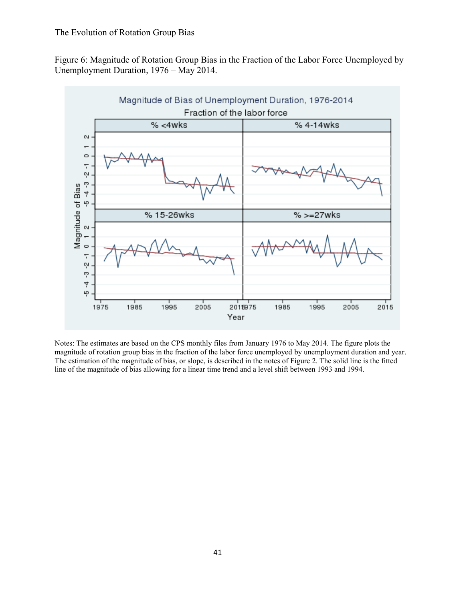Figure 6: Magnitude of Rotation Group Bias in the Fraction of the Labor Force Unemployed by Unemployment Duration, 1976 – May 2014.



Notes: The estimates are based on the CPS monthly files from January 1976 to May 2014. The figure plots the magnitude of rotation group bias in the fraction of the labor force unemployed by unemployment duration and year. The estimation of the magnitude of bias, or slope, is described in the notes of Figure 2. The solid line is the fitted line of the magnitude of bias allowing for a linear time trend and a level shift between 1993 and 1994.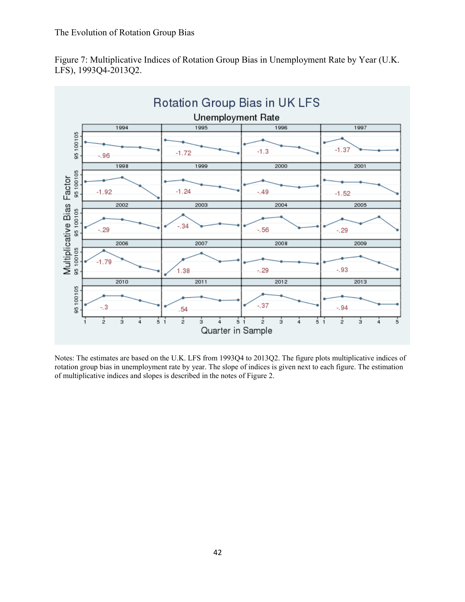



Notes: The estimates are based on the U.K. LFS from 1993Q4 to 2013Q2. The figure plots multiplicative indices of rotation group bias in unemployment rate by year. The slope of indices is given next to each figure. The estimation of multiplicative indices and slopes is described in the notes of Figure 2.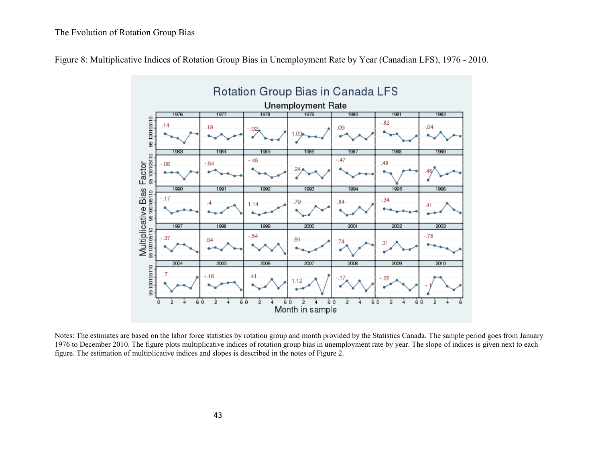



Notes: The estimates are based on the labor force statistics by rotation group and month provided by the Statistics Canada. The sample period goes from January 1976 to December 2010. The figure plots multiplicative indices of rotation group bias in unemployment rate by year. The slope of indices is given next to each figure. The estimation of multiplicative indices and slopes is described in the notes of Figure 2.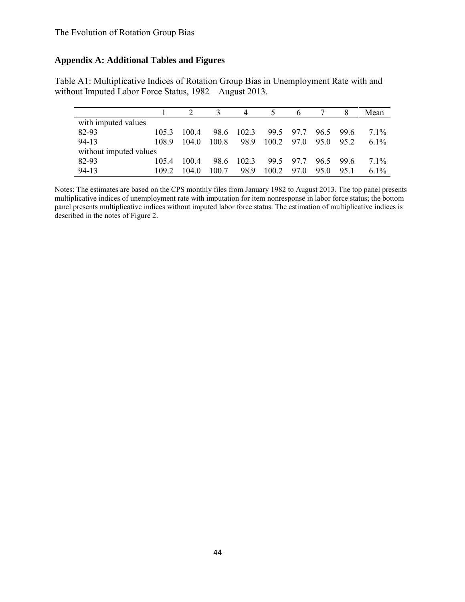# **Appendix A: Additional Tables and Figures**

Table A1: Multiplicative Indices of Rotation Group Bias in Unemployment Rate with and without Imputed Labor Force Status, 1982 – August 2013.

|                        |       |       |       |       |                    |           |      |           | Mean    |
|------------------------|-------|-------|-------|-------|--------------------|-----------|------|-----------|---------|
| with imputed values    |       |       |       |       |                    |           |      |           |         |
| 82-93                  | 105.3 | 100.4 | 98.6  | 102.3 |                    | 99.5 97.7 | 96.5 | - 99.6    | $7.1\%$ |
| $94-13$                | 108.9 | 1040  | 100.8 | 98.9  | $100.2 \quad 97.0$ |           | 95.0 | 952       | 6.1\%   |
| without imputed values |       |       |       |       |                    |           |      |           |         |
| 82-93                  | 105.4 | 100.4 | 98.6  | 102.3 | 99.5               | 977       |      | $965$ 996 | $7.1\%$ |
| $94-13$                | 109.2 | 104.0 | 100.7 | 989   | 1002               | 97.0      | 950  | 951       | $6.1\%$ |

Notes: The estimates are based on the CPS monthly files from January 1982 to August 2013. The top panel presents multiplicative indices of unemployment rate with imputation for item nonresponse in labor force status; the bottom panel presents multiplicative indices without imputed labor force status. The estimation of multiplicative indices is described in the notes of Figure 2.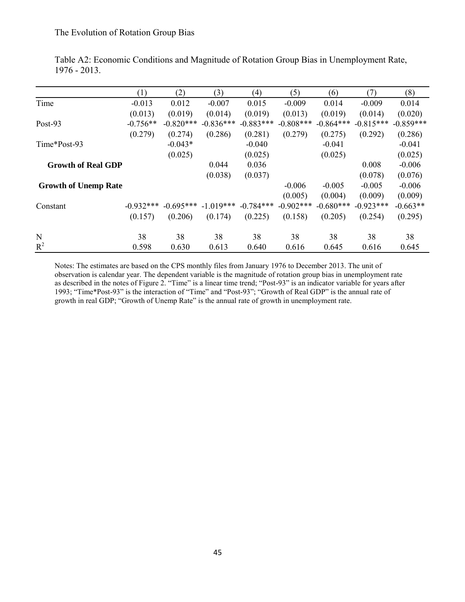|                             | (1)         | (2)         | (3)         | (4)         | (5)          | (6)         | (7)         | (8)         |
|-----------------------------|-------------|-------------|-------------|-------------|--------------|-------------|-------------|-------------|
| Time                        | $-0.013$    | 0.012       | $-0.007$    | 0.015       | $-0.009$     | 0.014       | $-0.009$    | 0.014       |
|                             | (0.013)     | (0.019)     | (0.014)     | (0.019)     | (0.013)      | (0.019)     | (0.014)     | (0.020)     |
| Post-93                     | $-0.756**$  | $-0.820***$ | $-0.836***$ | $-0.883***$ | $-0.808***$  | $-0.864***$ | $-0.815***$ | $-0.859***$ |
|                             | (0.279)     | (0.274)     | (0.286)     | (0.281)     | (0.279)      | (0.275)     | (0.292)     | (0.286)     |
| Time*Post-93                |             | $-0.043*$   |             | $-0.040$    |              | $-0.041$    |             | $-0.041$    |
|                             |             | (0.025)     |             | (0.025)     |              | (0.025)     |             | (0.025)     |
| <b>Growth of Real GDP</b>   |             |             | 0.044       | 0.036       |              |             | 0.008       | $-0.006$    |
|                             |             |             | (0.038)     | (0.037)     |              |             | (0.078)     | (0.076)     |
| <b>Growth of Unemp Rate</b> |             |             |             |             | $-0.006$     | $-0.005$    | $-0.005$    | $-0.006$    |
|                             |             |             |             |             | (0.005)      | (0.004)     | (0.009)     | (0.009)     |
| Constant                    | $-0.932***$ | $-0.695***$ | $-1.019***$ | $-0.784***$ | $-0.902$ *** | $-0.680***$ | $-0.923***$ | $-0.663**$  |
|                             | (0.157)     | (0.206)     | (0.174)     | (0.225)     | (0.158)      | (0.205)     | (0.254)     | (0.295)     |
| N                           | 38          | 38          | 38          | 38          | 38           | 38          | 38          | 38          |
| $R^2$                       | 0.598       | 0.630       | 0.613       | 0.640       | 0.616        | 0.645       | 0.616       | 0.645       |

Table A2: Economic Conditions and Magnitude of Rotation Group Bias in Unemployment Rate, 1976 - 2013.

Notes: The estimates are based on the CPS monthly files from January 1976 to December 2013. The unit of observation is calendar year. The dependent variable is the magnitude of rotation group bias in unemployment rate as described in the notes of Figure 2. "Time" is a linear time trend; "Post-93" is an indicator variable for years after 1993; "Time\*Post-93" is the interaction of "Time" and "Post-93"; "Growth of Real GDP" is the annual rate of growth in real GDP; "Growth of Unemp Rate" is the annual rate of growth in unemployment rate.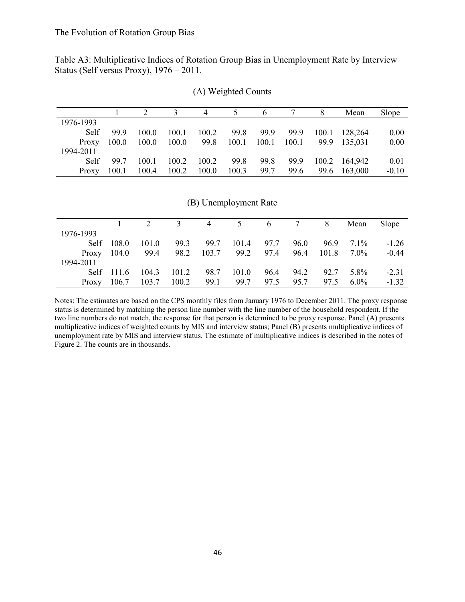Table A3: Multiplicative Indices of Rotation Group Bias in Unemployment Rate by Interview Status (Self versus Proxy), 1976 – 2011.

|           |       |       |       |       |       |       |       |       | Mean          | Slope   |
|-----------|-------|-------|-------|-------|-------|-------|-------|-------|---------------|---------|
| 1976-1993 |       |       |       |       |       |       |       |       |               |         |
| Self.     | 999   | 100.0 | 100.1 | 100.2 | 99.8  | 99.9  | 99.9  | 100.1 | 128,264       | 0.00    |
| Proxy     | 100.0 | 100.0 | 100.0 | 99.8  | 100.1 | 100.1 | 100.1 |       | 99.9 135,031  | 0.00    |
| 1994-2011 |       |       |       |       |       |       |       |       |               |         |
| Self.     | 99.7  | 100 1 | 100.2 | 100.2 | 99.8  | 99.8  | 99.9  |       | 100.2 164,942 | 0.01    |
| Proxy     | 100.1 | 100.4 | 100.2 | 100.0 | 100.3 | 99.7  | 99.6  |       | 99.6 163,000  | $-0.10$ |

#### (A) Weighted Counts

(B) Unemployment Rate

|               |            |       |       |            |       |            |      | 8    | Mean         | Slope   |
|---------------|------------|-------|-------|------------|-------|------------|------|------|--------------|---------|
| 1976-1993     |            |       |       |            |       |            |      |      |              |         |
| Self.         | 108.0      | 101.0 | 99.3  | 99.7       |       | 101.4 97.7 | 96.0 |      | 96.9 7.1%    | $-1.26$ |
| Proxy $104.0$ |            | 99.4  |       | 98.2 103.7 |       | 99.2 97.4  | 96.4 |      | $101.8$ 7.0% | $-0.44$ |
| 1994-2011     |            |       |       |            |       |            |      |      |              |         |
|               | Self 111.6 | 104.3 | 101.2 | 98.7       | 101.0 | 96.4       | 94.2 |      | 92.7 5.8%    | $-2.31$ |
| Proxy         | 106.7      | 103.7 | 100.2 | 99.1       | 99.7  | 97.5       | 95.7 | 97.5 | $6.0\%$      | $-1.32$ |

Notes: The estimates are based on the CPS monthly files from January 1976 to December 2011. The proxy response status is determined by matching the person line number with the line number of the household respondent. If the two line numbers do not match, the response for that person is determined to be proxy response. Panel (A) presents multiplicative indices of weighted counts by MIS and interview status; Panel (B) presents multiplicative indices of unemployment rate by MIS and interview status. The estimate of multiplicative indices is described in the notes of Figure 2. The counts are in thousands.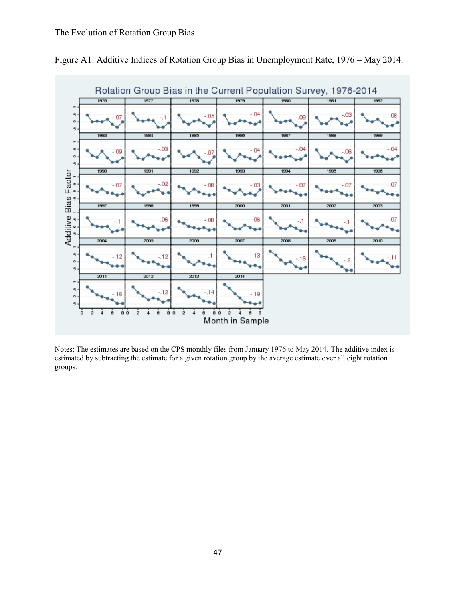

Figure A1: Additive Indices of Rotation Group Bias in Unemployment Rate, 1976 – May 2014.

Notes: The estimates are based on the CPS monthly files from January 1976 to May 2014. The additive index is estimated by subtracting the estimate for a given rotation group by the average estimate over all eight rotation groups.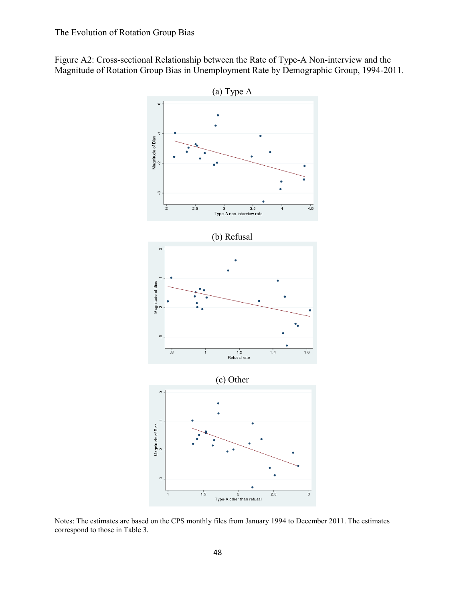



Notes: The estimates are based on the CPS monthly files from January 1994 to December 2011. The estimates correspond to those in Table 3.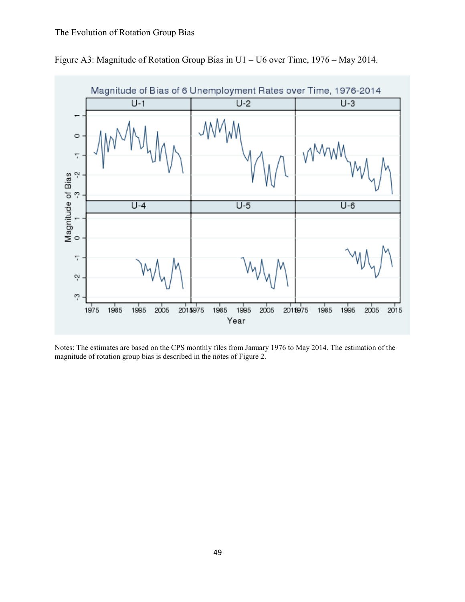

Figure A3: Magnitude of Rotation Group Bias in U1 – U6 over Time, 1976 – May 2014.

Notes: The estimates are based on the CPS monthly files from January 1976 to May 2014. The estimation of the magnitude of rotation group bias is described in the notes of Figure 2.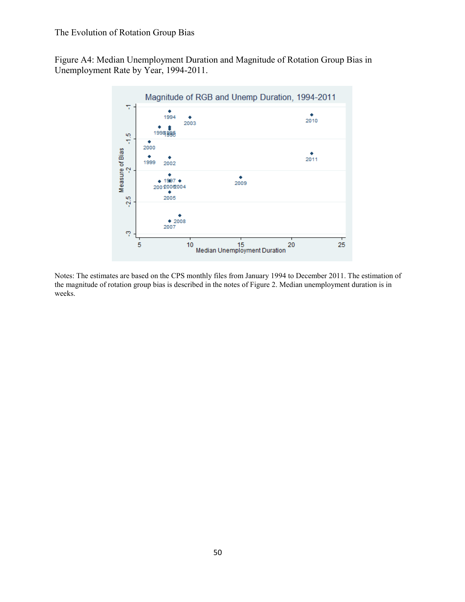Figure A4: Median Unemployment Duration and Magnitude of Rotation Group Bias in Unemployment Rate by Year, 1994-2011.



Notes: The estimates are based on the CPS monthly files from January 1994 to December 2011. The estimation of the magnitude of rotation group bias is described in the notes of Figure 2. Median unemployment duration is in weeks.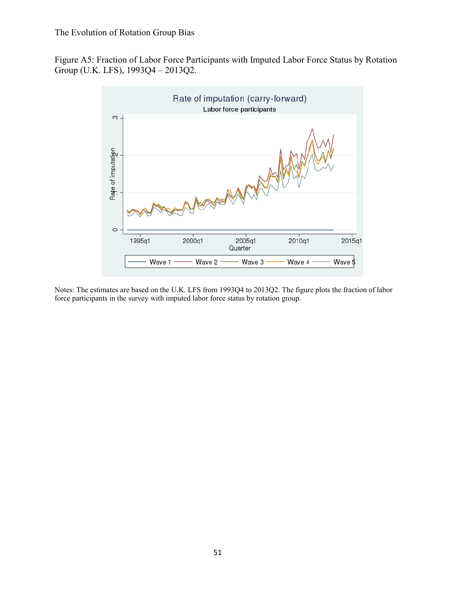Figure A5: Fraction of Labor Force Participants with Imputed Labor Force Status by Rotation Group (U.K. LFS), 1993Q4 – 2013Q2.



Notes: The estimates are based on the U.K. LFS from 1993Q4 to 2013Q2. The figure plots the fraction of labor force participants in the survey with imputed labor force status by rotation group.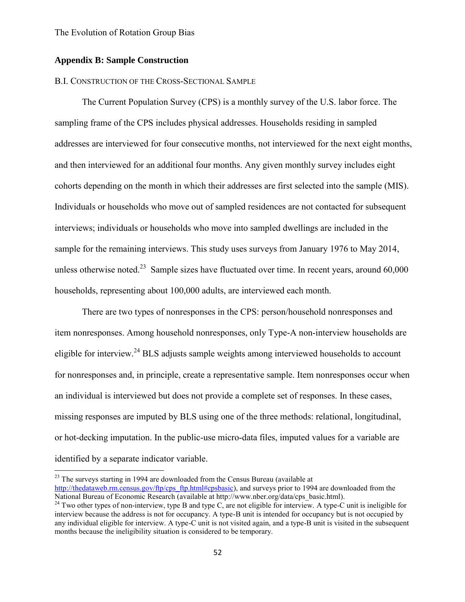#### **Appendix B: Sample Construction**

 $\overline{\phantom{a}}$ 

#### B.I. CONSTRUCTION OF THE CROSS-SECTIONAL SAMPLE

 The Current Population Survey (CPS) is a monthly survey of the U.S. labor force. The sampling frame of the CPS includes physical addresses. Households residing in sampled addresses are interviewed for four consecutive months, not interviewed for the next eight months, and then interviewed for an additional four months. Any given monthly survey includes eight cohorts depending on the month in which their addresses are first selected into the sample (MIS). Individuals or households who move out of sampled residences are not contacted for subsequent interviews; individuals or households who move into sampled dwellings are included in the sample for the remaining interviews. This study uses surveys from January 1976 to May 2014, unless otherwise noted.<sup>23</sup> Sample sizes have fluctuated over time. In recent years, around  $60,000$ households, representing about 100,000 adults, are interviewed each month.

 There are two types of nonresponses in the CPS: person/household nonresponses and item nonresponses. Among household nonresponses, only Type-A non-interview households are eligible for interview.<sup>24</sup> BLS adjusts sample weights among interviewed households to account for nonresponses and, in principle, create a representative sample. Item nonresponses occur when an individual is interviewed but does not provide a complete set of responses. In these cases, missing responses are imputed by BLS using one of the three methods: relational, longitudinal, or hot-decking imputation. In the public-use micro-data files, imputed values for a variable are identified by a separate indicator variable.

 $23$  The surveys starting in 1994 are downloaded from the Census Bureau (available at [http://thedataweb.rm.census.gov/ftp/cps\\_ftp.html#cpsbasic\)](http://thedataweb.rm.census.gov/ftp/cps_ftp.html#cpsbasic), and surveys prior to 1994 are downloaded from the National Bureau of Economic Research (available at http://www.nber.org/data/cps\_basic.html).

 $^{24}$  Two other types of non-interview, type B and type C, are not eligible for interview. A type-C unit is ineligible for interview because the address is not for occupancy. A type-B unit is intended for occupancy but is not occupied by any individual eligible for interview. A type-C unit is not visited again, and a type-B unit is visited in the subsequent months because the ineligibility situation is considered to be temporary.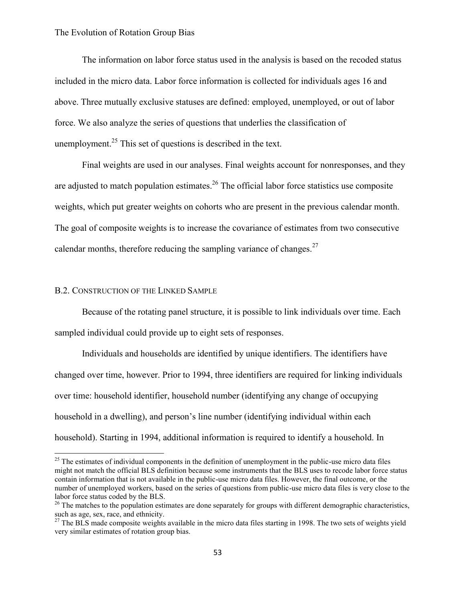The information on labor force status used in the analysis is based on the recoded status included in the micro data. Labor force information is collected for individuals ages 16 and above. Three mutually exclusive statuses are defined: employed, unemployed, or out of labor force. We also analyze the series of questions that underlies the classification of unemployment.<sup>25</sup> This set of questions is described in the text.

 Final weights are used in our analyses. Final weights account for nonresponses, and they are adjusted to match population estimates.<sup>26</sup> The official labor force statistics use composite weights, which put greater weights on cohorts who are present in the previous calendar month. The goal of composite weights is to increase the covariance of estimates from two consecutive calendar months, therefore reducing the sampling variance of changes. $27$ 

#### B.2. CONSTRUCTION OF THE LINKED SAMPLE

 $\overline{\phantom{a}}$ 

 Because of the rotating panel structure, it is possible to link individuals over time. Each sampled individual could provide up to eight sets of responses.

 Individuals and households are identified by unique identifiers. The identifiers have changed over time, however. Prior to 1994, three identifiers are required for linking individuals over time: household identifier, household number (identifying any change of occupying household in a dwelling), and person's line number (identifying individual within each household). Starting in 1994, additional information is required to identify a household. In

 $25$  The estimates of individual components in the definition of unemployment in the public-use micro data files might not match the official BLS definition because some instruments that the BLS uses to recode labor force status contain information that is not available in the public-use micro data files. However, the final outcome, or the number of unemployed workers, based on the series of questions from public-use micro data files is very close to the labor force status coded by the BLS.

 $^{26}$  The matches to the population estimates are done separately for groups with different demographic characteristics, such as age, sex, race, and ethnicity.

 $27$  The BLS made composite weights available in the micro data files starting in 1998. The two sets of weights yield very similar estimates of rotation group bias.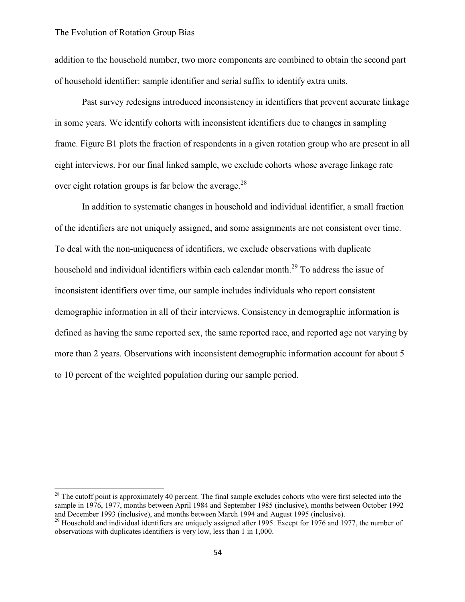l

addition to the household number, two more components are combined to obtain the second part of household identifier: sample identifier and serial suffix to identify extra units.

 Past survey redesigns introduced inconsistency in identifiers that prevent accurate linkage in some years. We identify cohorts with inconsistent identifiers due to changes in sampling frame. Figure B1 plots the fraction of respondents in a given rotation group who are present in all eight interviews. For our final linked sample, we exclude cohorts whose average linkage rate over eight rotation groups is far below the average.<sup>28</sup>

In addition to systematic changes in household and individual identifier, a small fraction of the identifiers are not uniquely assigned, and some assignments are not consistent over time. To deal with the non-uniqueness of identifiers, we exclude observations with duplicate household and individual identifiers within each calendar month.<sup>29</sup> To address the issue of inconsistent identifiers over time, our sample includes individuals who report consistent demographic information in all of their interviews. Consistency in demographic information is defined as having the same reported sex, the same reported race, and reported age not varying by more than 2 years. Observations with inconsistent demographic information account for about 5 to 10 percent of the weighted population during our sample period.

 $2<sup>28</sup>$  The cutoff point is approximately 40 percent. The final sample excludes cohorts who were first selected into the sample in 1976, 1977, months between April 1984 and September 1985 (inclusive), months between October 1992 and December 1993 (inclusive), and months between March 1994 and August 1995 (inclusive).

 $^{29}$  Household and individual identifiers are uniquely assigned after 1995. Except for 1976 and 1977, the number of observations with duplicates identifiers is very low, less than 1 in 1,000.